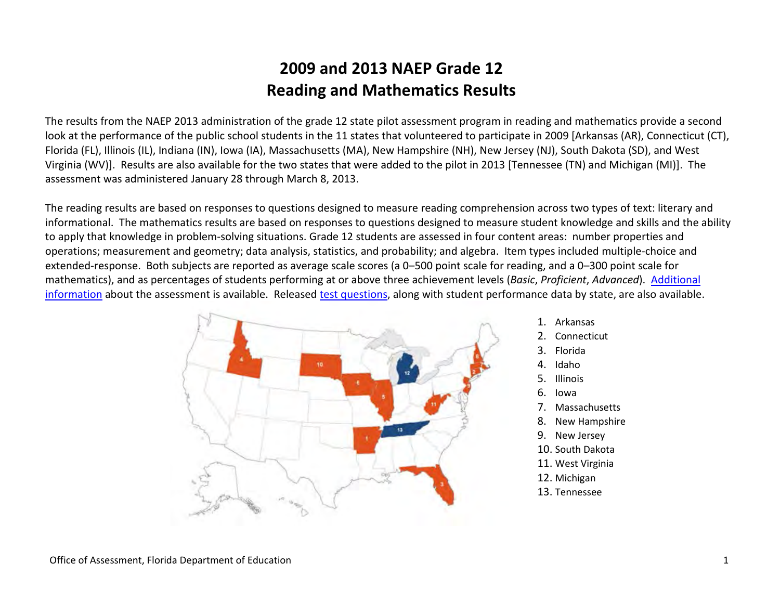The results from the NAEP 2013 administration of the grade 12 state pilot assessment program in reading and mathematics provide a second look at the performance of the public school students in the 11 states that volunteered to participate in 2009 [Arkansas (AR), Connecticut (CT), Florida (FL), Illinois (IL), Indiana (IN), Iowa (IA), Massachusetts (MA), New Hampshire (NH), New Jersey (NJ), South Dakota (SD), and West Virginia (WV)]. Results are also available for the two states that were added to the pilot in 2013 [Tennessee (TN) and Michigan (MI)]. The assessment was administered January 28 through March 8, 2013.

The reading results are based on responses to questions designed to measure reading comprehension across two types of text: literary and informational. The mathematics results are based on responses to questions designed to measure student knowledge and skills and the ability to apply that knowledge in problem-solving situations. Grade 12 students are assessed in four content areas: number properties and operations; measurement and geometry; data analysis, statistics, and probability; and algebra. Item types included multiple-choice and extended-response. Both subjects are reported as average scale scores (a 0–500 point scale for reading, and a 0–300 point scale for mathematics), and as percentages of students performing at or above three achievement levels (*Basic*, *Proficient*, *Advanced*). [Additional](http://nces.ed.gov/nationsreportcard/) [information](http://nces.ed.gov/nationsreportcard/) about the assessment is available. Released [test questions,](http://nces.ed.gov/nationsreportcard/itmrls/) along with student performance data by state, are also available.



- 1. Arkansas
- 2. Connecticut
- 3. Florida
- 4. Idaho
- 5. Illinois
- 6. Iowa
- 7. Massachusetts
- 8. New Hampshire
- 9. New Jersey
- 10. South Dakota
- 11. West Virginia
- 12. Michigan
- 13. Tennessee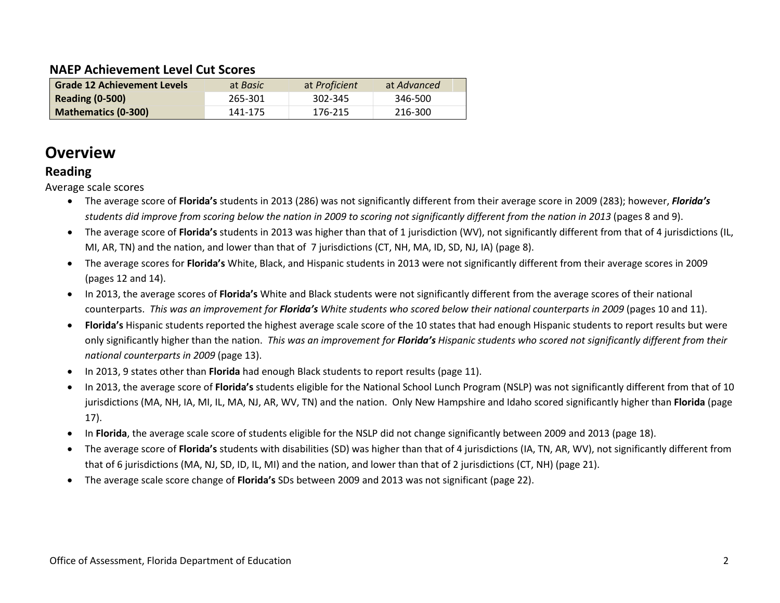#### **NAEP Achievement Level Cut Scores**

| <b>Grade 12 Achievement Levels</b> | at <i>Basic</i> | at Proficient | at Advanced |
|------------------------------------|-----------------|---------------|-------------|
| <b>Reading (0-500)</b>             | 265-301         | 302-345       | 346-500     |
| <b>Mathematics (0-300)</b>         | 141-175         | 176-215       | 216-300     |

### **Overview**

#### **Reading**

Average scale scores

- The average score of **Florida's** students in 2013 (286) was not significantly different from their average score in 2009 (283); however, *Florida's students did improve from scoring below the nation in 2009 to scoring not significantly different from the nation in 2013* (pages 8 and 9).
- The average score of **Florida's** students in 2013 was higher than that of 1 jurisdiction (WV), not significantly different from that of 4 jurisdictions (IL, MI, AR, TN) and the nation, and lower than that of 7 jurisdictions (CT, NH, MA, ID, SD, NJ, IA) (page 8).
- The average scores for **Florida's** White, Black, and Hispanic students in 2013 were not significantly different from their average scores in 2009 (pages 12 and 14).
- In 2013, the average scores of **Florida's** White and Black students were not significantly different from the average scores of their national counterparts. *This was an improvement for Florida's White students who scored below their national counterparts in 2009* (pages 10 and 11).
- **Florida's** Hispanic students reported the highest average scale score of the 10 states that had enough Hispanic students to report results but were only significantly higher than the nation. *This was an improvement for Florida's Hispanic students who scored not significantly different from their national counterparts in 2009* (page 13).
- In 2013, 9 states other than **Florida** had enough Black students to report results (page 11).
- In 2013, the average score of **Florida's** students eligible for the National School Lunch Program (NSLP) was not significantly different from that of 10 jurisdictions (MA, NH, IA, MI, IL, MA, NJ, AR, WV, TN) and the nation. Only New Hampshire and Idaho scored significantly higher than **Florida** (page 17).
- In **Florida**, the average scale score of students eligible for the NSLP did not change significantly between 2009 and 2013 (page 18).
- The average score of **Florida's** students with disabilities (SD) was higher than that of 4 jurisdictions (IA, TN, AR, WV), not significantly different from that of 6 jurisdictions (MA, NJ, SD, ID, IL, MI) and the nation, and lower than that of 2 jurisdictions (CT, NH) (page 21).
- The average scale score change of **Florida's** SDs between 2009 and 2013 was not significant (page 22).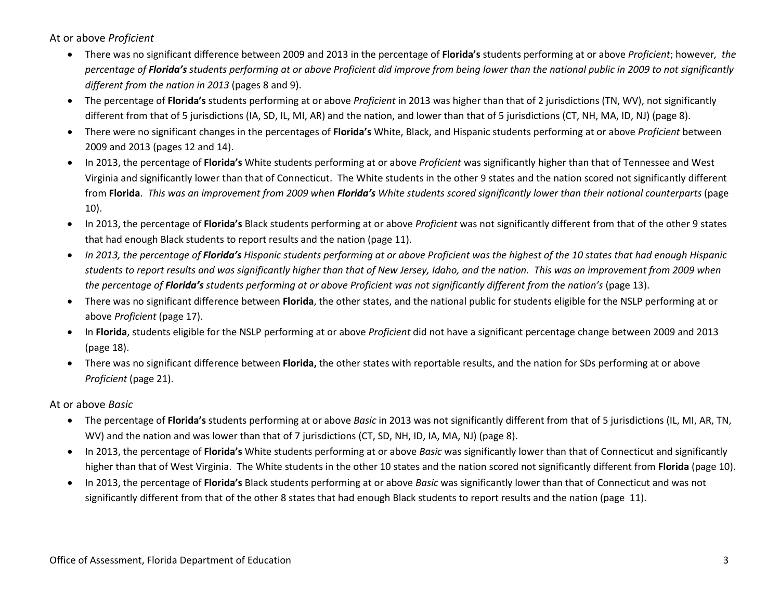At or above *Proficient*

- There was no significant difference between 2009 and 2013 in the percentage of **Florida's** students performing at or above *Proficient*; however*, the percentage of Florida's students performing at or above Proficient did improve from being lower than the national public in 2009 to not significantly different from the nation in 2013* (pages 8 and 9).
- The percentage of **Florida's** students performing at or above *Proficient* in 2013 was higher than that of 2 jurisdictions (TN, WV), not significantly different from that of 5 jurisdictions (IA, SD, IL, MI, AR) and the nation, and lower than that of 5 jurisdictions (CT, NH, MA, ID, NJ) (page 8).
- There were no significant changes in the percentages of **Florida's** White, Black, and Hispanic students performing at or above *Proficient* between 2009 and 2013 (pages 12 and 14).
- In 2013, the percentage of **Florida's** White students performing at or above *Proficient* was significantly higher than that of Tennessee and West Virginia and significantly lower than that of Connecticut. The White students in the other 9 states and the nation scored not significantly different from **Florida**. *This was an improvement from 2009 when Florida's White students scored significantly lower than their national counterparts* (page 10).
- In 2013, the percentage of **Florida's** Black students performing at or above *Proficient* was not significantly different from that of the other 9 states that had enough Black students to report results and the nation (page 11).
- *In 2013, the percentage of Florida's Hispanic students performing at or above Proficient was the highest of the 10 states that had enough Hispanic students to report results and was significantly higher than that of New Jersey, Idaho, and the nation. This was an improvement from 2009 when the percentage of Florida's students performing at or above Proficient was not significantly different from the nation's* (page 13).
- There was no significant difference between **Florida**, the other states, and the national public for students eligible for the NSLP performing at or above *Proficient* (page 17).
- In **Florida**, students eligible for the NSLP performing at or above *Proficient* did not have a significant percentage change between 2009 and 2013 (page 18).
- There was no significant difference between **Florida,** the other states with reportable results, and the nation for SDs performing at or above *Proficient* (page 21).

At or above *Basic*

- The percentage of **Florida's** students performing at or above *Basic* in 2013 was not significantly different from that of 5 jurisdictions (IL, MI, AR, TN, WV) and the nation and was lower than that of 7 jurisdictions (CT, SD, NH, ID, IA, MA, NJ) (page 8).
- In 2013, the percentage of **Florida's** White students performing at or above *Basic* was significantly lower than that of Connecticut and significantly higher than that of West Virginia. The White students in the other 10 states and the nation scored not significantly different from **Florida** (page 10).
- In 2013, the percentage of **Florida's** Black students performing at or above *Basic* was significantly lower than that of Connecticut and was not significantly different from that of the other 8 states that had enough Black students to report results and the nation (page 11).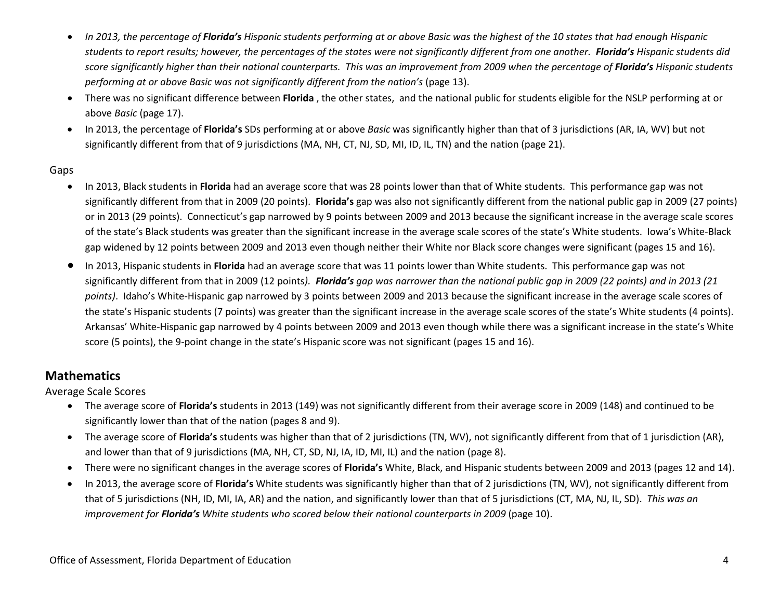- *In 2013, the percentage of Florida's Hispanic students performing at or above Basic was the highest of the 10 states that had enough Hispanic students to report results; however, the percentages of the states were not significantly different from one another. Florida's Hispanic students did score significantly higher than their national counterparts. This was an improvement from 2009 when the percentage of Florida's Hispanic students performing at or above Basic was not significantly different from the nation's* (page 13).
- There was no significant difference between **Florida** , the other states, and the national public for students eligible for the NSLP performing at or above *Basic* (page 17).
- In 2013, the percentage of **Florida's** SDs performing at or above *Basic* was significantly higher than that of 3 jurisdictions (AR, IA, WV) but not significantly different from that of 9 jurisdictions (MA, NH, CT, NJ, SD, MI, ID, IL, TN) and the nation (page 21).

#### Gaps

- In 2013, Black students in **Florida** had an average score that was 28 points lower than that of White students. This performance gap was not significantly different from that in 2009 (20 points). **Florida's** gap was also not significantly different from the national public gap in 2009 (27 points) or in 2013 (29 points). Connecticut's gap narrowed by 9 points between 2009 and 2013 because the significant increase in the average scale scores of the state's Black students was greater than the significant increase in the average scale scores of the state's White students. Iowa's White-Black gap widened by 12 points between 2009 and 2013 even though neither their White nor Black score changes were significant (pages 15 and 16).
- In 2013, Hispanic students in **Florida** had an average score that was 11 points lower than White students. This performance gap was not significantly different from that in 2009 (12 points*). Florida's gap was narrower than the national public gap in 2009 (22 points) and in 2013 (21 points)*. Idaho's White-Hispanic gap narrowed by 3 points between 2009 and 2013 because the significant increase in the average scale scores of the state's Hispanic students (7 points) was greater than the significant increase in the average scale scores of the state's White students (4 points). Arkansas' White-Hispanic gap narrowed by 4 points between 2009 and 2013 even though while there was a significant increase in the state's White score (5 points), the 9-point change in the state's Hispanic score was not significant (pages 15 and 16).

#### **Mathematics**

Average Scale Scores

- The average score of **Florida's** students in 2013 (149) was not significantly different from their average score in 2009 (148) and continued to be significantly lower than that of the nation (pages 8 and 9).
- The average score of **Florida's** students was higher than that of 2 jurisdictions (TN, WV), not significantly different from that of 1 jurisdiction (AR), and lower than that of 9 jurisdictions (MA, NH, CT, SD, NJ, IA, ID, MI, IL) and the nation (page 8).
- There were no significant changes in the average scores of **Florida's** White, Black, and Hispanic students between 2009 and 2013 (pages 12 and 14).
- In 2013, the average score of **Florida's** White students was significantly higher than that of 2 jurisdictions (TN, WV), not significantly different from that of 5 jurisdictions (NH, ID, MI, IA, AR) and the nation, and significantly lower than that of 5 jurisdictions (CT, MA, NJ, IL, SD). *This was an improvement for Florida's White students who scored below their national counterparts in 2009* (page 10).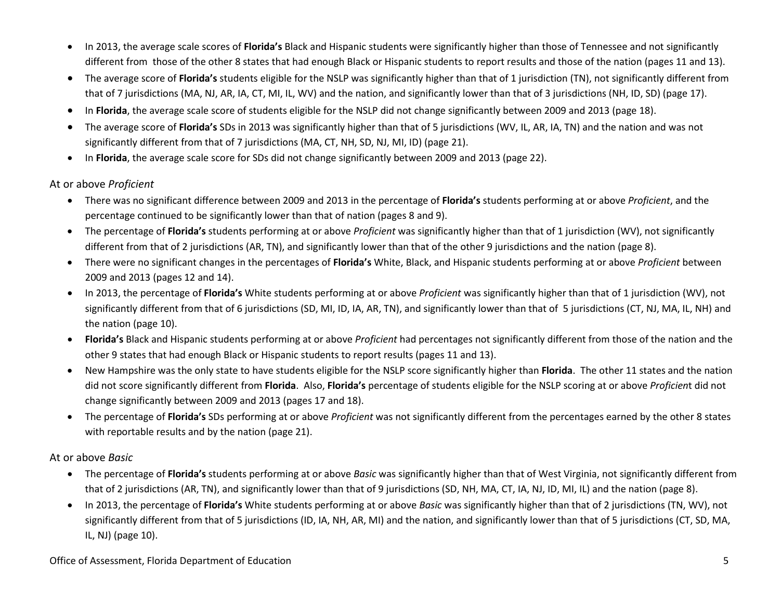- In 2013, the average scale scores of **Florida's** Black and Hispanic students were significantly higher than those of Tennessee and not significantly different from those of the other 8 states that had enough Black or Hispanic students to report results and those of the nation (pages 11 and 13).
- The average score of **Florida's** students eligible for the NSLP was significantly higher than that of 1 jurisdiction (TN), not significantly different from that of 7 jurisdictions (MA, NJ, AR, IA, CT, MI, IL, WV) and the nation, and significantly lower than that of 3 jurisdictions (NH, ID, SD) (page 17).
- In **Florida**, the average scale score of students eligible for the NSLP did not change significantly between 2009 and 2013 (page 18).
- The average score of **Florida's** SDs in 2013 was significantly higher than that of 5 jurisdictions (WV, IL, AR, IA, TN) and the nation and was not significantly different from that of 7 jurisdictions (MA, CT, NH, SD, NJ, MI, ID) (page 21).
- In **Florida**, the average scale score for SDs did not change significantly between 2009 and 2013 (page 22).

#### At or above *Proficient*

- There was no significant difference between 2009 and 2013 in the percentage of **Florida's** students performing at or above *Proficient*, and the percentage continued to be significantly lower than that of nation (pages 8 and 9).
- The percentage of **Florida's** students performing at or above *Proficient* was significantly higher than that of 1 jurisdiction (WV), not significantly different from that of 2 jurisdictions (AR, TN), and significantly lower than that of the other 9 jurisdictions and the nation (page 8).
- There were no significant changes in the percentages of **Florida's** White, Black, and Hispanic students performing at or above *Proficient* between 2009 and 2013 (pages 12 and 14).
- In 2013, the percentage of **Florida's** White students performing at or above *Proficient* was significantly higher than that of 1 jurisdiction (WV), not significantly different from that of 6 jurisdictions (SD, MI, ID, IA, AR, TN), and significantly lower than that of 5 jurisdictions (CT, NJ, MA, IL, NH) and the nation (page 10).
- **Florida's** Black and Hispanic students performing at or above *Proficient* had percentages not significantly different from those of the nation and the other 9 states that had enough Black or Hispanic students to report results (pages 11 and 13).
- New Hampshire was the only state to have students eligible for the NSLP score significantly higher than **Florida**. The other 11 states and the nation did not score significantly different from **Florida**. Also, **Florida's** percentage of students eligible for the NSLP scoring at or above *Proficien*t did not change significantly between 2009 and 2013 (pages 17 and 18).
- The percentage of **Florida's** SDs performing at or above *Proficient* was not significantly different from the percentages earned by the other 8 states with reportable results and by the nation (page 21).

#### At or above *Basic*

- The percentage of **Florida's** students performing at or above *Basic* was significantly higher than that of West Virginia, not significantly different from that of 2 jurisdictions (AR, TN), and significantly lower than that of 9 jurisdictions (SD, NH, MA, CT, IA, NJ, ID, MI, IL) and the nation (page 8).
- In 2013, the percentage of **Florida's** White students performing at or above *Basic* was significantly higher than that of 2 jurisdictions (TN, WV), not significantly different from that of 5 jurisdictions (ID, IA, NH, AR, MI) and the nation, and significantly lower than that of 5 jurisdictions (CT, SD, MA, IL, NJ) (page 10).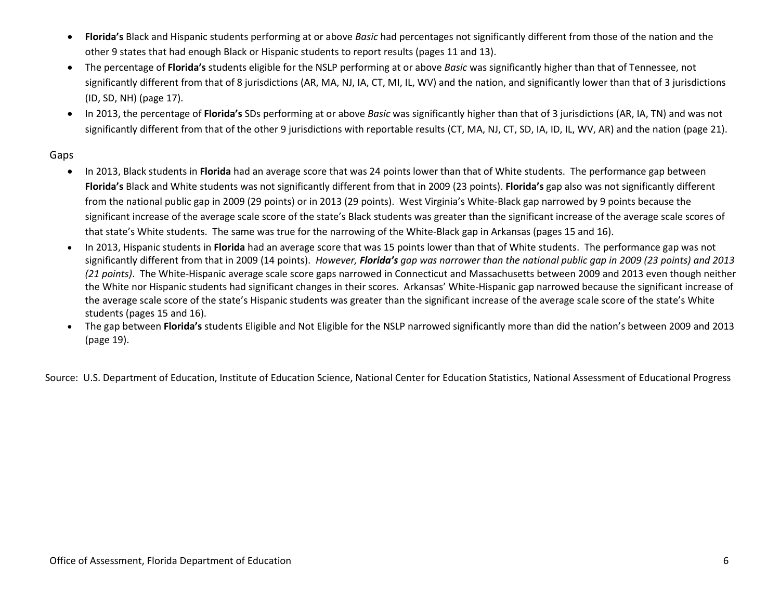- **Florida's** Black and Hispanic students performing at or above *Basic* had percentages not significantly different from those of the nation and the other 9 states that had enough Black or Hispanic students to report results (pages 11 and 13).
- The percentage of **Florida's** students eligible for the NSLP performing at or above *Basic* was significantly higher than that of Tennessee, not significantly different from that of 8 jurisdictions (AR, MA, NJ, IA, CT, MI, IL, WV) and the nation, and significantly lower than that of 3 jurisdictions (ID, SD, NH) (page 17).
- In 2013, the percentage of **Florida's** SDs performing at or above *Basic* was significantly higher than that of 3 jurisdictions (AR, IA, TN) and was not significantly different from that of the other 9 jurisdictions with reportable results (CT, MA, NJ, CT, SD, IA, ID, IL, WV, AR) and the nation (page 21).

#### Gaps

- In 2013, Black students in **Florida** had an average score that was 24 points lower than that of White students. The performance gap between **Florida's** Black and White students was not significantly different from that in 2009 (23 points). **Florida's** gap also was not significantly different from the national public gap in 2009 (29 points) or in 2013 (29 points). West Virginia's White-Black gap narrowed by 9 points because the significant increase of the average scale score of the state's Black students was greater than the significant increase of the average scale scores of that state's White students. The same was true for the narrowing of the White-Black gap in Arkansas (pages 15 and 16).
- In 2013, Hispanic students in **Florida** had an average score that was 15 points lower than that of White students. The performance gap was not significantly different from that in 2009 (14 points). *However, Florida's gap was narrower than the national public gap in 2009 (23 points) and 2013 (21 points)*. The White-Hispanic average scale score gaps narrowed in Connecticut and Massachusetts between 2009 and 2013 even though neither the White nor Hispanic students had significant changes in their scores. Arkansas' White-Hispanic gap narrowed because the significant increase of the average scale score of the state's Hispanic students was greater than the significant increase of the average scale score of the state's White students (pages 15 and 16).
- The gap between **Florida's** students Eligible and Not Eligible for the NSLP narrowed significantly more than did the nation's between 2009 and 2013 (page 19).

Source: U.S. Department of Education, Institute of Education Science, National Center for Education Statistics, National Assessment of Educational Progress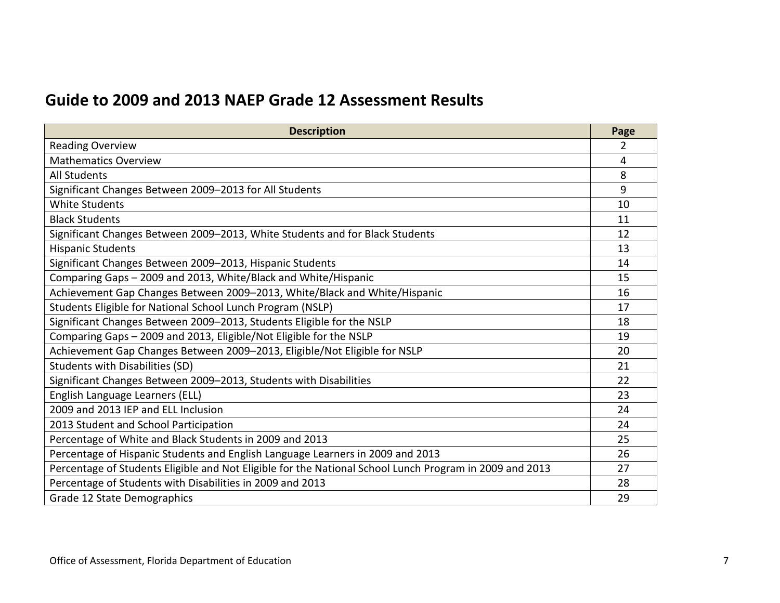### **Guide to 2009 and 2013 NAEP Grade 12 Assessment Results**

| <b>Description</b>                                                                                      | Page           |
|---------------------------------------------------------------------------------------------------------|----------------|
| <b>Reading Overview</b>                                                                                 | $\overline{2}$ |
| <b>Mathematics Overview</b>                                                                             | 4              |
| <b>All Students</b>                                                                                     | 8              |
| Significant Changes Between 2009-2013 for All Students                                                  | 9              |
| <b>White Students</b>                                                                                   | 10             |
| <b>Black Students</b>                                                                                   | 11             |
| Significant Changes Between 2009-2013, White Students and for Black Students                            | 12             |
| <b>Hispanic Students</b>                                                                                | 13             |
| Significant Changes Between 2009-2013, Hispanic Students                                                | 14             |
| Comparing Gaps - 2009 and 2013, White/Black and White/Hispanic                                          | 15             |
| Achievement Gap Changes Between 2009-2013, White/Black and White/Hispanic                               | 16             |
| Students Eligible for National School Lunch Program (NSLP)                                              | 17             |
| Significant Changes Between 2009-2013, Students Eligible for the NSLP                                   | 18             |
| Comparing Gaps - 2009 and 2013, Eligible/Not Eligible for the NSLP                                      | 19             |
| Achievement Gap Changes Between 2009-2013, Eligible/Not Eligible for NSLP                               | 20             |
| <b>Students with Disabilities (SD)</b>                                                                  | 21             |
| Significant Changes Between 2009-2013, Students with Disabilities                                       | 22             |
| English Language Learners (ELL)                                                                         | 23             |
| 2009 and 2013 IEP and ELL Inclusion                                                                     | 24             |
| 2013 Student and School Participation                                                                   | 24             |
| Percentage of White and Black Students in 2009 and 2013                                                 | 25             |
| Percentage of Hispanic Students and English Language Learners in 2009 and 2013                          | 26             |
| Percentage of Students Eligible and Not Eligible for the National School Lunch Program in 2009 and 2013 | 27             |
| Percentage of Students with Disabilities in 2009 and 2013                                               | 28             |
| Grade 12 State Demographics                                                                             | 29             |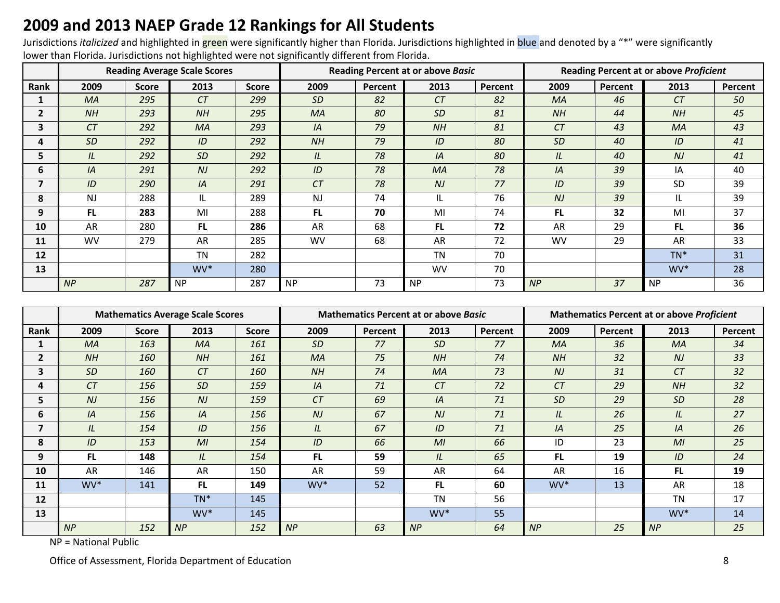### **2009 and 2013 NAEP Grade 12 Rankings for All Students**

Jurisdictions *italicized* and highlighted in green were significantly higher than Florida. Jurisdictions highlighted in blue and denoted by a "\*" were significantly lower than Florida. Jurisdictions not highlighted were not significantly different from Florida.

|                |           |              | <b>Reading Average Scale Scores</b> |              |           |         | <b>Reading Percent at or above Basic</b> |         | <b>Reading Percent at or above Proficient</b> |         |           |         |  |
|----------------|-----------|--------------|-------------------------------------|--------------|-----------|---------|------------------------------------------|---------|-----------------------------------------------|---------|-----------|---------|--|
| Rank           | 2009      | <b>Score</b> | 2013                                | <b>Score</b> | 2009      | Percent | 2013                                     | Percent | 2009                                          | Percent | 2013      | Percent |  |
|                | <b>MA</b> | 295          | CT                                  | 299          | SD        | 82      | CT                                       | 82      | <b>MA</b>                                     | 46      | CT        | 50      |  |
| $\overline{2}$ | NH        | 293          | NH                                  | 295          | <b>MA</b> | 80      | <b>SD</b>                                | 81      | NH                                            | 44      | NH        | 45      |  |
| 3              | CT        | 292          | MA                                  | 293          | IA        | 79      | NH                                       | 81      | CT                                            | 43      | <b>MA</b> | 43      |  |
| 4              | <b>SD</b> | 292          | ID                                  | 292          | NH        | 79      | ID                                       | 80      | <b>SD</b>                                     | 40      | ID        | 41      |  |
| 5              | IL        | 292          | <b>SD</b>                           | 292          | IL        | 78      | IA                                       | 80      | IL                                            | 40      | NJ        | 41      |  |
| 6              | IA        | 291          | NJ                                  | 292          | ID        | 78      | MA                                       | 78      | IA                                            | 39      | IA        | 40      |  |
| 7              | ID        | 290          | IA                                  | 291          | CT        | 78      | N <sub>J</sub>                           | 77      | ID                                            | 39      | SD        | 39      |  |
| 8              | <b>NJ</b> | 288          | IL                                  | 289          | <b>NJ</b> | 74      | IL                                       | 76      | NJ                                            | 39      | IL        | 39      |  |
| 9              | FL.       | 283          | MI                                  | 288          | FL.       | 70      | MI                                       | 74      | FL.                                           | 32      | MI        | 37      |  |
| 10             | AR        | 280          | <b>FL</b>                           | 286          | AR        | 68      | FL.                                      | 72      | AR                                            | 29      | <b>FL</b> | 36      |  |
| 11             | <b>WV</b> | 279          | <b>AR</b>                           | 285          | <b>WV</b> | 68      | AR                                       | 72      | <b>WV</b>                                     | 29      | <b>AR</b> | 33      |  |
| 12             |           |              | <b>TN</b>                           | 282          |           |         | <b>TN</b>                                | 70      |                                               |         | $TN^*$    | 31      |  |
| 13             |           |              | WV*                                 | 280          |           |         | <b>WV</b>                                | 70      |                                               |         | WV*       | 28      |  |
|                | NP        | 287          | NP                                  | 287          | <b>NP</b> | 73      | <b>NP</b>                                | 73      | NP                                            | 37      | <b>NP</b> | 36      |  |

|                |           |              | <b>Mathematics Average Scale Scores</b> |              |           |         | <b>Mathematics Percent at or above Basic</b> |         |                 |         | <b>Mathematics Percent at or above Proficient</b> |         |
|----------------|-----------|--------------|-----------------------------------------|--------------|-----------|---------|----------------------------------------------|---------|-----------------|---------|---------------------------------------------------|---------|
| Rank           | 2009      | <b>Score</b> | 2013                                    | <b>Score</b> | 2009      | Percent | 2013                                         | Percent | 2009            | Percent | 2013                                              | Percent |
|                | MA        | 163          | <b>MA</b>                               | 161          | <b>SD</b> | 77      | <b>SD</b>                                    | 77      | MA              | 36      | MA                                                | 34      |
| $\mathbf{2}$   | NH        | 160          | NH                                      | 161          | <b>MA</b> | 75      | NH                                           | 74      | NH              | 32      | N <sub>J</sub>                                    | 33      |
| 3              | <b>SD</b> | 160          | CT                                      | 160          | NH        | 74      | MA                                           | 73      | NJ              | 31      | CT                                                | 32      |
| 4              | CT        | 156          | <b>SD</b>                               | 159          | IA        | 71      | CT                                           | 72      | CT              | 29      | NH                                                | 32      |
| 5.             | NJ        | 156          | N <sub>J</sub>                          | 159          | CT        | 69      | IA                                           | 71      | <b>SD</b>       | 29      | <b>SD</b>                                         | 28      |
| 6              | IA        | 156          | IA                                      | 156          | NJ        | 67      | N <sub>J</sub>                               | 71      | IL              | 26      | IL                                                | 27      |
| $\overline{ }$ | IL        | 154          | ID                                      | 156          | IL        | 67      | ID                                           | 71      | IA              | 25      | IA                                                | 26      |
| 8              | ID        | 153          | M <sub>l</sub>                          | 154          | ID        | 66      | MI                                           | 66      | ID              | 23      | M <sub>l</sub>                                    | 25      |
| 9              | FL.       | 148          | IL                                      | 154          | FL.       | 59      | IL                                           | 65      | FL.             | 19      | ID                                                | 24      |
| 10             | AR        | 146          | AR                                      | 150          | AR        | 59      | AR                                           | 64      | AR              | 16      | <b>FL</b>                                         | 19      |
| 11             | WV*       | 141          | FL.                                     | 149          | WV*       | 52      | FL.                                          | 60      | WV <sup>*</sup> | 13      | <b>AR</b>                                         | 18      |
| 12             |           |              | $TN^*$                                  | 145          |           |         | <b>TN</b>                                    | 56      |                 |         | <b>TN</b>                                         | 17      |
| 13             |           |              | WV*                                     | 145          |           |         | WV*                                          | 55      |                 |         | $WV^*$                                            | 14      |
|                | NP        | 152          | NP                                      | 152          | NP        | 63      | NP                                           | 64      | NP              | 25      | NP                                                | 25      |

NP = National Public

Office of Assessment, Florida Department of Education 8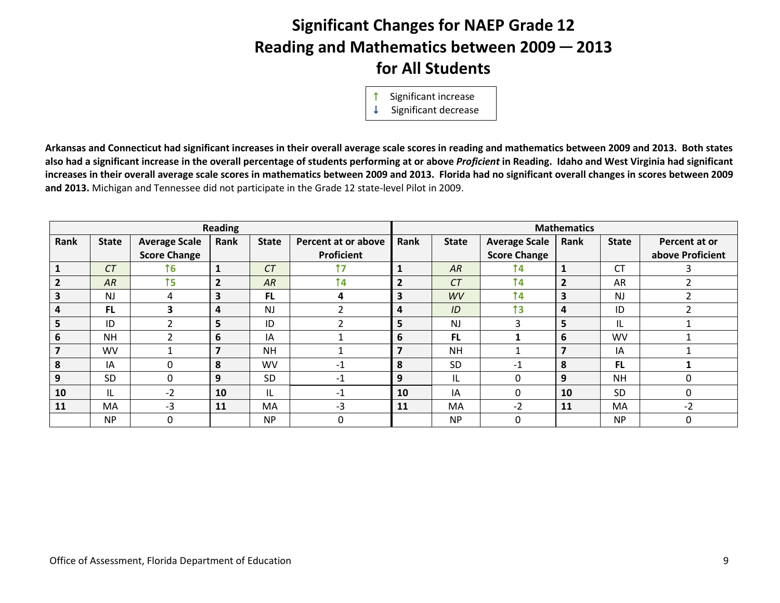# **Significant Changes for NAEP Grade 12 Reading and Mathematics between 2009 ─ 2013 for All Students**

Significant increase

 $\downarrow$  Significant decrease

**Arkansas and Connecticut had significant increases in their overall average scale scores in reading and mathematics between 2009 and 2013. Both states also had a significant increase in the overall percentage of students performing at or above** *Proficient* **in Reading. Idaho and West Virginia had significant increases in their overall average scale scores in mathematics between 2009 and 2013. Florida had no significant overall changes in scores between 2009 and 2013.** Michigan and Tennessee did not participate in the Grade 12 state-level Pilot in 2009.

|                         |              |                      | <b>Reading</b> |              |                     |                |              |                      | <b>Mathematics</b>       |              |                  |
|-------------------------|--------------|----------------------|----------------|--------------|---------------------|----------------|--------------|----------------------|--------------------------|--------------|------------------|
| Rank                    | <b>State</b> | <b>Average Scale</b> | Rank           | <b>State</b> | Percent at or above | Rank           | <b>State</b> | <b>Average Scale</b> | Rank                     | <b>State</b> | Percent at or    |
|                         |              | <b>Score Change</b>  |                |              | Proficient          |                |              | <b>Score Change</b>  |                          |              | above Proficient |
| $\mathbf 1$             | CT           | <b>16</b>            | 1              | CT           | 17                  |                | AR           | $\uparrow$ 4         |                          | <b>CT</b>    |                  |
| $\overline{2}$          | AR           | $\uparrow$ 5         | $\overline{2}$ | AR           | 14                  | $\overline{2}$ | CT           | 14                   | $\overline{2}$           | AR           |                  |
| $\overline{\mathbf{3}}$ | <b>NJ</b>    | 4                    | 3              | <b>FL</b>    | 4                   | 3              | WV           | 14                   | 3                        | <b>NJ</b>    |                  |
| 4                       | <b>FL</b>    | 3                    | 4              | <b>NJ</b>    | ำ                   | 4              | ID           | 13                   | $\overline{\mathbf{4}}$  | ID           |                  |
| 5                       | ID           | ∍                    | 5              | ID           | ∍                   | 5              | <b>NJ</b>    | 3                    | 5                        | IL           |                  |
| 6                       | <b>NH</b>    |                      | 6              | IA           |                     | 6              | FL.          |                      | 6                        | WV           |                  |
| $\overline{\mathbf{z}}$ | WV           |                      | $\overline{7}$ | <b>NH</b>    |                     |                | <b>NH</b>    |                      | $\overline{\phantom{a}}$ | IA           |                  |
| 8                       | IA           | $\Omega$             | 8              | <b>WV</b>    | $-1$                | 8              | <b>SD</b>    | $-1$                 | 8                        | <b>FL</b>    |                  |
| 9                       | SD           | $\Omega$             | 9              | SD           | $-1$                | 9              | IL           | $\mathbf{0}$         | 9                        | <b>NH</b>    | $\Omega$         |
| 10                      | IL           | $-2$                 | 10             | IL           | $-1$                | 10             | IA           | $\mathbf{0}$         | 10                       | <b>SD</b>    | $\mathbf{0}$     |
| 11                      | MA           | $-3$                 | 11             | MA           | $-3$                | <b>11</b>      | MA           | $-2$                 | 11                       | MA           | $-2$             |
|                         | <b>NP</b>    | 0                    |                | <b>NP</b>    | $\Omega$            |                | <b>NP</b>    | $\Omega$             |                          | <b>NP</b>    | $\mathbf{0}$     |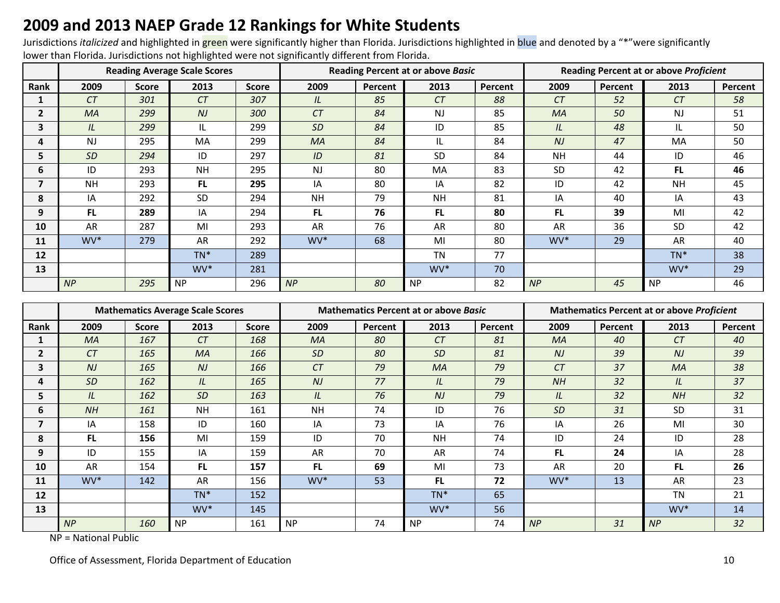### **2009 and 2013 NAEP Grade 12 Rankings for White Students**

Jurisdictions *italicized* and highlighted in green were significantly higher than Florida. Jurisdictions highlighted in blue and denoted by a "\*"were significantly lower than Florida. Jurisdictions not highlighted were not significantly different from Florida.

|                |           |              | <b>Reading Average Scale Scores</b> |              |           |         | <b>Reading Percent at or above Basic</b> |         | <b>Reading Percent at or above Proficient</b> |         |           |         |
|----------------|-----------|--------------|-------------------------------------|--------------|-----------|---------|------------------------------------------|---------|-----------------------------------------------|---------|-----------|---------|
| Rank           | 2009      | <b>Score</b> | 2013                                | <b>Score</b> | 2009      | Percent | 2013                                     | Percent | 2009                                          | Percent | 2013      | Percent |
|                | CT        | 301          | CT                                  | 307          | IL        | 85      | CT                                       | 88      | CT                                            | 52      | CT        | 58      |
| $\mathbf{2}$   | <b>MA</b> | 299          | NJ                                  | 300          | CT        | 84      | <b>NJ</b>                                | 85      | <b>MA</b>                                     | 50      | <b>NJ</b> | 51      |
| 3              | IL        | 299          | IL                                  | 299          | <b>SD</b> | 84      | ID                                       | 85      | IL                                            | 48      | IL        | 50      |
| 4              | NJ        | 295          | <b>MA</b>                           | 299          | <b>MA</b> | 84      | IL.                                      | 84      | N <sub>J</sub>                                | 47      | <b>MA</b> | 50      |
| 5              | <b>SD</b> | 294          | ID                                  | 297          | ID        | 81      | <b>SD</b>                                | 84      | <b>NH</b>                                     | 44      | ID        | 46      |
| 6              | ID        | 293          | <b>NH</b>                           | 295          | <b>NJ</b> | 80      | MA                                       | 83      | SD                                            | 42      | <b>FL</b> | 46      |
| $\overline{7}$ | <b>NH</b> | 293          | <b>FL</b>                           | 295          | IA        | 80      | IA                                       | 82      | ID                                            | 42      | <b>NH</b> | 45      |
| 8              | IA        | 292          | <b>SD</b>                           | 294          | <b>NH</b> | 79      | <b>NH</b>                                | 81      | IA                                            | 40      | IA        | 43      |
| 9              | FL.       | 289          | IA                                  | 294          | FL.       | 76      | FL.                                      | 80      | FL.                                           | 39      | MI        | 42      |
| 10             | AR        | 287          | MI                                  | 293          | AR        | 76      | AR                                       | 80      | AR                                            | 36      | <b>SD</b> | 42      |
| 11             | WV*       | 279          | AR                                  | 292          | WV*       | 68      | MI                                       | 80      | WV*                                           | 29      | AR        | 40      |
| 12             |           |              | $TN^*$                              | 289          |           |         | <b>TN</b>                                | 77      |                                               |         | $TN^*$    | 38      |
| 13             |           |              | WV*                                 | 281          |           |         | WV*                                      | 70      |                                               |         | WV*       | 29      |
|                | NP        | 295          | <b>NP</b>                           | 296          | NP        | 80      | <b>NP</b>                                | 82      | NP                                            | 45      | <b>NP</b> | 46      |

|                         |                 |              | <b>Mathematics Average Scale Scores</b> |              |                |         | <b>Mathematics Percent at or above Basic</b> |         | <b>Mathematics Percent at or above Proficient</b> |         |           |         |  |  |
|-------------------------|-----------------|--------------|-----------------------------------------|--------------|----------------|---------|----------------------------------------------|---------|---------------------------------------------------|---------|-----------|---------|--|--|
| <b>Rank</b>             | 2009            | <b>Score</b> | 2013                                    | <b>Score</b> | 2009           | Percent | 2013                                         | Percent | 2009                                              | Percent | 2013      | Percent |  |  |
|                         | <b>MA</b>       | 167          | CT                                      | 168          | MA             | 80      | CT                                           | 81      | <b>MA</b>                                         | 40      | CT        | 40      |  |  |
| $\overline{\mathbf{c}}$ | CT              | 165          | <b>MA</b>                               | 166          | <b>SD</b>      | 80      | <b>SD</b>                                    | 81      | N <sub>J</sub>                                    | 39      | NJ        | 39      |  |  |
| $\overline{\mathbf{3}}$ | NJ              | 165          | NJ                                      | 166          | CT             | 79      | MA                                           | 79      | CT                                                | 37      | MA        | 38      |  |  |
| 4                       | <b>SD</b>       | 162          | IL                                      | 165          | N <sub>J</sub> | 77      | IL                                           | 79      | NH                                                | 32      | IL        | 37      |  |  |
| 5.                      | IL              | 162          | <b>SD</b>                               | 163          | IL             | 76      | N <sub>J</sub>                               | 79      | IL                                                | 32      | NH        | 32      |  |  |
| 6                       | NH              | 161          | <b>NH</b>                               | 161          | <b>NH</b>      | 74      | ID                                           | 76      | <b>SD</b>                                         | 31      | <b>SD</b> | 31      |  |  |
| 7                       | IA              | 158          | ID                                      | 160          | IA             | 73      | IA                                           | 76      | IA                                                | 26      | MI        | 30      |  |  |
| 8                       | FL.             | 156          | MI                                      | 159          | ID             | 70      | <b>NH</b>                                    | 74      | ID                                                | 24      | ID        | 28      |  |  |
| 9                       | ID              | 155          | IA                                      | 159          | AR             | 70      | <b>AR</b>                                    | 74      | FL.                                               | 24      | IA        | 28      |  |  |
| 10                      | AR              | 154          | <b>FL</b>                               | 157          | FL.            | 69      | MI                                           | 73      | AR                                                | 20      | <b>FL</b> | 26      |  |  |
| 11                      | WV <sup>*</sup> | 142          | AR                                      | 156          | WV*            | 53      | FL.                                          | 72      | WV <sup>*</sup>                                   | 13      | <b>AR</b> | 23      |  |  |
| 12                      |                 |              | $TN^*$                                  | 152          |                |         | $TN^*$                                       | 65      |                                                   |         | <b>TN</b> | 21      |  |  |
| 13                      |                 |              | WV*                                     | 145          |                |         | WV*                                          | 56      |                                                   |         | WV*       | 14      |  |  |
|                         | NP              | 160          | <b>NP</b>                               | 161          | <b>NP</b>      | 74      | <b>NP</b>                                    | 74      | NP                                                | 31      | NP        | 32      |  |  |

NP = National Public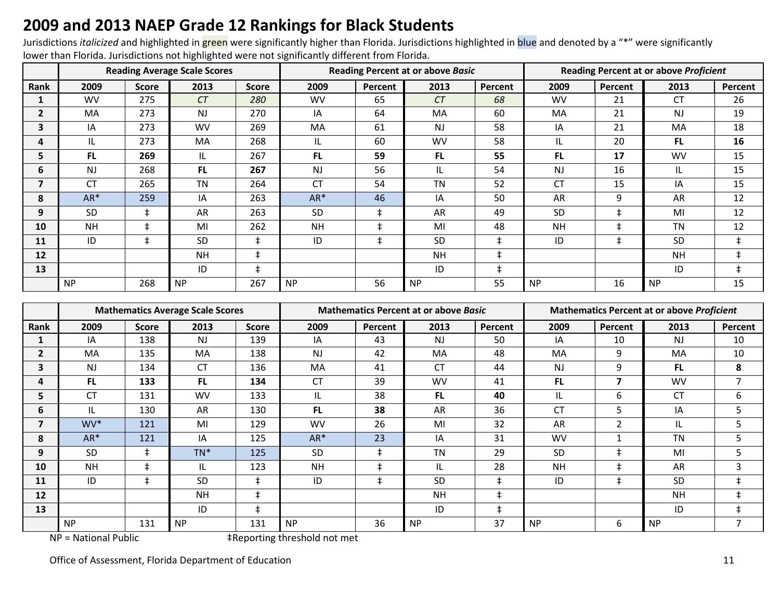### **2009 and 2013 NAEP Grade 12 Rankings for Black Students**

Jurisdictions *italicized* and highlighted in green were significantly higher than Florida. Jurisdictions highlighted in blue and denoted by a "\*" were significantly lower than Florida. Jurisdictions not highlighted were not significantly different from Florida.

|      |           |            | <b>Reading Average Scale Scores</b> |              |           |            | <b>Reading Percent at or above Basic</b> |            | <b>Reading Percent at or above Proficient</b> |            |           |            |  |
|------|-----------|------------|-------------------------------------|--------------|-----------|------------|------------------------------------------|------------|-----------------------------------------------|------------|-----------|------------|--|
| Rank | 2009      | Score      | 2013                                | <b>Score</b> | 2009      | Percent    | 2013                                     | Percent    | 2009                                          | Percent    | 2013      | Percent    |  |
|      | <b>WV</b> | 275        | CT                                  | 280          | <b>WV</b> | 65         | CT                                       | 68         | <b>WV</b>                                     | 21         | <b>CT</b> | 26         |  |
| 2    | MA        | 273        | <b>NJ</b>                           | 270          | IA        | 64         | MA                                       | 60         | MA                                            | 21         | <b>NJ</b> | 19         |  |
| 3    | IA        | 273        | <b>WV</b>                           | 269          | MA        | 61         | <b>NJ</b>                                | 58         | IA                                            | 21         | MA        | 18         |  |
| 4    | IL.       | 273        | <b>MA</b>                           | 268          | IL        | 60         | <b>WV</b>                                | 58         | IL                                            | 20         | FL.       | 16         |  |
| 5    | FL.       | 269        | IL                                  | 267          | FL.       | 59         | <b>FL</b>                                | 55         | <b>FL</b>                                     | 17         | <b>WV</b> | 15         |  |
| 6    | <b>NJ</b> | 268        | <b>FL</b>                           | 267          | <b>NJ</b> | 56         | IL                                       | 54         | <b>NJ</b>                                     | 16         | IL        | 15         |  |
| 7    | СT        | 265        | <b>TN</b>                           | 264          | <b>CT</b> | 54         | <b>TN</b>                                | 52         | <b>CT</b>                                     | 15         | IA        | 15         |  |
| 8    | $AR*$     | 259        | IA                                  | 263          | $AR*$     | 46         | IA                                       | 50         | AR                                            | 9          | <b>AR</b> | 12         |  |
| 9    | SD        | $\ddagger$ | AR                                  | 263          | <b>SD</b> | $\pm$      | AR                                       | 49         | <b>SD</b>                                     | $\ddagger$ | MI        | 12         |  |
| 10   | <b>NH</b> | $\ddagger$ | MI                                  | 262          | <b>NH</b> | $\ddagger$ | MI                                       | 48         | <b>NH</b>                                     | $\ddagger$ | <b>TN</b> | 12         |  |
| 11   | ID        | $\ddagger$ | <b>SD</b>                           | $\pm$        | ID        | $\ddagger$ | <b>SD</b>                                | $\ddagger$ | ID                                            | $\ddagger$ | <b>SD</b> | $\ddagger$ |  |
| 12   |           |            | <b>NH</b>                           | $\ddagger$   |           |            | <b>NH</b>                                | $\ddagger$ |                                               |            | <b>NH</b> |            |  |
| 13   |           |            | ID                                  | $\ddagger$   |           |            | ID                                       | $\ddagger$ |                                               |            | ID        | $\pm$      |  |
|      | <b>NP</b> | 268        | <b>NP</b>                           | 267          | <b>NP</b> | 56         | <b>NP</b>                                | 55         | <b>NP</b>                                     | 16         | <b>NP</b> | 15         |  |

|              |           |              | <b>Mathematics Average Scale Scores</b> |              |                |            | <b>Mathematics Percent at or above Basic</b> |            |           | <b>Mathematics Percent at or above Proficient</b><br>2013<br>2009<br>Percent |           |         |  |
|--------------|-----------|--------------|-----------------------------------------|--------------|----------------|------------|----------------------------------------------|------------|-----------|------------------------------------------------------------------------------|-----------|---------|--|
| Rank         | 2009      | <b>Score</b> | 2013                                    | <b>Score</b> | 2009           | Percent    | 2013                                         | Percent    |           |                                                                              |           | Percent |  |
|              | IA        | 138          | <b>NJ</b>                               | 139          | IA             | 43         | <b>NJ</b>                                    | 50         | IA        | 10                                                                           | <b>NJ</b> | 10      |  |
| $\mathbf{2}$ | MA        | 135          | <b>MA</b>                               | 138          | N <sub>J</sub> | 42         | MA                                           | 48         | MA        | 9                                                                            | <b>MA</b> | 10      |  |
| 3            | <b>NJ</b> | 134          | <b>CT</b>                               | 136          | MA             | 41         | <b>CT</b>                                    | 44         | <b>NJ</b> | 9                                                                            | <b>FL</b> | 8       |  |
| 4            | FL.       | 133          | <b>FL</b>                               | 134          | <b>CT</b>      | 39         | <b>WV</b>                                    | 41         | FL.       | 7                                                                            | <b>WV</b> | 7       |  |
| 5            | <b>CT</b> | 131          | <b>WV</b>                               | 133          | IL.            | 38         | <b>FL</b>                                    | 40         | IL        | 6                                                                            | <b>CT</b> | 6       |  |
| 6            | IL        | 130          | AR                                      | 130          | FL.            | 38         | AR                                           | 36         | СT        | 5                                                                            | IA        | 5       |  |
| 7            | WV*       | 121          | MI                                      | 129          | <b>WV</b>      | 26         | MI                                           | 32         | AR        | 2                                                                            | IL        | 5       |  |
| 8            | $AR*$     | 121          | IA                                      | 125          | $AR*$          | 23         | IA                                           | 31         | <b>WV</b> |                                                                              | <b>TN</b> | 5       |  |
| 9            | <b>SD</b> | $\ddagger$   | $TN^*$                                  | 125          | <b>SD</b>      | $\ddagger$ | <b>TN</b>                                    | 29         | <b>SD</b> | ŧ                                                                            | MI        | 5       |  |
| 10           | <b>NH</b> | $\ddagger$   | IL                                      | 123          | <b>NH</b>      | $\ddagger$ | IL                                           | 28         | <b>NH</b> | $\ddagger$                                                                   | AR        | 3       |  |
| 11           | ID        | $\ddagger$   | <b>SD</b>                               | $\pm$        | ID             | $\ddagger$ | <b>SD</b>                                    | $\ddagger$ | ID        | ŧ                                                                            | <b>SD</b> |         |  |
| 12           |           |              | <b>NH</b>                               | $\ddagger$   |                |            | <b>NH</b>                                    | $\ddagger$ |           |                                                                              | <b>NH</b> | $\pm$   |  |
| 13           |           |              | ID                                      | $\ddagger$   |                |            | ID                                           | $\ddagger$ |           |                                                                              | ID        | ŧ       |  |
|              | <b>NP</b> | 131          | <b>NP</b>                               | 131          | <b>NP</b>      | 36         | <b>NP</b>                                    | 37         | <b>NP</b> | 6                                                                            | <b>NP</b> | 7       |  |

NP = National Public  $\ddot{ }$  +Reporting threshold not met

Office of Assessment, Florida Department of Education 11 and 2008 12 and 2008 12 and 2008 12 and 2008 12 and 2008 12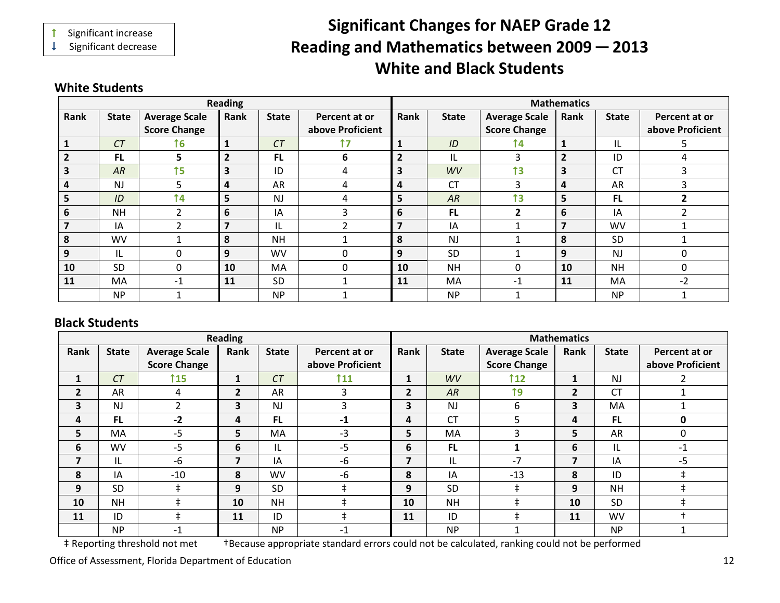Significant increase

 $\downarrow$  Significant decrease

# **Significant Changes for NAEP Grade 12 ading and Mathematics between 2009 ─ 2013 Re White and Black Students**

#### **White Students**

|      |              |                      | <b>Reading</b>          |              |                  |                |              |                      | <b>Mathematics</b>      |              |                  |
|------|--------------|----------------------|-------------------------|--------------|------------------|----------------|--------------|----------------------|-------------------------|--------------|------------------|
| Rank | <b>State</b> | <b>Average Scale</b> | Rank                    | <b>State</b> | Percent at or    | Rank           | <b>State</b> | <b>Average Scale</b> | Rank                    | <b>State</b> | Percent at or    |
|      |              | <b>Score Change</b>  |                         |              | above Proficient |                |              | <b>Score Change</b>  |                         |              | above Proficient |
|      | CT           | 16 <sub>1</sub>      | $\mathbf{1}$            | CT           | 17               | 1              | ID           | 14                   | $\mathbf{1}$            | IL           | 5.               |
| 2    | <b>FL</b>    | 5                    | $\overline{2}$          | <b>FL</b>    | 6                | $\overline{2}$ | IL           | 3                    | $\overline{2}$          | ID           | 4                |
| З    | AR           | 15 <sub>1</sub>      | 3                       | ID           | 4                | 3              | WV           | 13                   | $\overline{\mathbf{3}}$ | <b>CT</b>    | 3                |
| 4    | <b>NJ</b>    | 5                    | 4                       | AR           | 4                | 4              | <b>CT</b>    | 3                    | 4                       | AR           | 3                |
| 5    | ID           | <b>14</b>            | 5                       | <b>NJ</b>    | 4                | 5              | AR           | 13                   | 5                       | <b>FL</b>    | $\mathfrak{p}$   |
| 6    | <b>NH</b>    | $\mathcal{P}$        | 6                       | IA           | 3                | 6              | <b>FL</b>    |                      | 6                       | IA           | $\mathfrak{p}$   |
|      | IA           | ີ                    | $\overline{\mathbf{z}}$ | IL           | ∍                | 7              | IA           |                      | $\overline{7}$          | WV           |                  |
| 8    | <b>WV</b>    |                      | 8                       | <b>NH</b>    |                  | 8              | <b>NJ</b>    |                      | 8                       | <b>SD</b>    |                  |
| 9    | IL           | 0                    | 9                       | <b>WV</b>    | 0                | 9              | <b>SD</b>    |                      | 9                       | <b>NJ</b>    | 0                |
| 10   | <b>SD</b>    | 0                    | 10                      | MA           | 0                | 10             | <b>NH</b>    | 0                    | 10                      | <b>NH</b>    | 0                |
| 11   | MA           | $-1$                 | 11                      | <b>SD</b>    |                  | 11             | MA           | $-1$                 | 11                      | MA           | $-2$             |
|      | <b>NP</b>    |                      |                         | <b>NP</b>    |                  |                | <b>NP</b>    |                      |                         | <b>NP</b>    |                  |

#### **Black Students**

|                |                            |                      | <b>Reading</b> |              |                  |                          |              |                      | <b>Mathematics</b> |                     |                  |
|----------------|----------------------------|----------------------|----------------|--------------|------------------|--------------------------|--------------|----------------------|--------------------|---------------------|------------------|
| Rank           | <b>State</b>               | <b>Average Scale</b> | Rank           | <b>State</b> | Percent at or    | Rank                     | <b>State</b> | <b>Average Scale</b> | <b>Rank</b>        | <b>State</b>        | Percent at or    |
|                |                            | <b>Score Change</b>  |                |              | above Proficient |                          |              | <b>Score Change</b>  |                    |                     | above Proficient |
| 1              | CT                         | <b>115</b>           |                | CT           | <b>111</b>       | $\mathbf{1}$             | WV           | $112$                | $\mathbf{1}$       | <b>NJ</b>           |                  |
| $\overline{2}$ | <b>AR</b>                  | 4                    | $\overline{2}$ | AR           | 3                | $\overline{2}$           | AR           | 19                   | $\overline{2}$     | <b>CT</b>           |                  |
| 3              | <b>NJ</b>                  | ົາ                   | 3              | <b>NJ</b>    | 3                | 3                        | <b>NJ</b>    | 6                    | 3                  | MA                  |                  |
| 4              | <b>FL</b>                  | $-2$                 | 4              | <b>FL</b>    | $-1$             | 4                        | <b>CT</b>    | 5                    | 4                  | <b>FL</b>           | 0                |
| 5              | MA                         | $-5$                 | 5              | MA           | $-3$             | 5                        | MA           | 3                    | 5                  | AR                  | 0                |
| 6              | <b>WV</b>                  | $-5$                 | 6              | IL           | $-5$             | 6                        | FL.          |                      | 6                  | IL                  | $-1$             |
| 7              | IL                         | $-6$                 | 7              | IA           | $-6$             | $\overline{\phantom{a}}$ | IL           | $-7$                 | $\overline{7}$     | IA                  | $-5$             |
| 8              | IA                         | $-10$                | 8              | WV           | -6               | 8                        | ΙA           | $-13$                | 8                  | ID                  | ŧ                |
| 9              | <b>SD</b>                  | ŧ.                   | 9              | <b>SD</b>    |                  | 9                        | <b>SD</b>    | $\pm$                | 9                  | <b>NH</b>           | $\ddagger$       |
| 10             | <b>NH</b>                  | $\pm$                | 10             | <b>NH</b>    |                  | 10                       | <b>NH</b>    | ŧ                    | 10                 | <b>SD</b>           | ŧ                |
| 11             | ID                         |                      | 11             | ID           |                  | 11                       | ID           | ‡.                   | 11                 | WV                  |                  |
|                | <b>NP</b><br>$\sim$ $\sim$ | -1<br>.              |                | <b>NP</b>    | $-1$             | . .                      | <b>NP</b>    |                      |                    | <b>NP</b><br>$\sim$ |                  |

‡ Reporting threshold not met †Because appropriate standard errors could not be calculated, ranking could not be performed

Office of Assessment, Florida Department of Education 12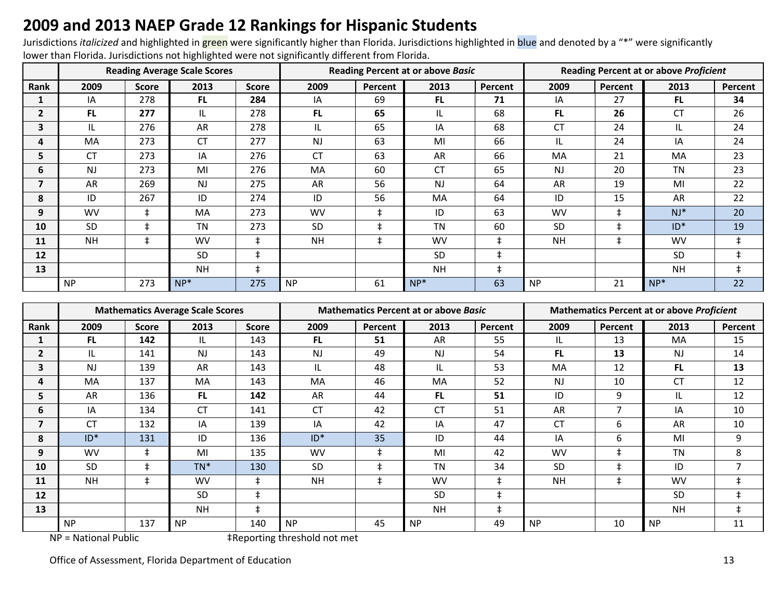### **2009 and 2013 NAEP Grade 12 Rankings for Hispanic Students**

Jurisdictions *italicized* and highlighted in green were significantly higher than Florida. Jurisdictions highlighted in blue and denoted by a "\*" were significantly lower than Florida. Jurisdictions not highlighted were not significantly different from Florida.

|                         |           |              | <b>Reading Average Scale Scores</b> |              |           |            | <b>Reading Percent at or above Basic</b> |            | <b>Reading Percent at or above Proficient</b> |            |           |            |  |
|-------------------------|-----------|--------------|-------------------------------------|--------------|-----------|------------|------------------------------------------|------------|-----------------------------------------------|------------|-----------|------------|--|
| Rank                    | 2009      | <b>Score</b> | 2013                                | <b>Score</b> | 2009      | Percent    | 2013                                     | Percent    | 2009                                          | Percent    | 2013      | Percent    |  |
|                         | IA        | 278          | <b>FL</b>                           | 284          | IA        | 69         | <b>FL</b>                                | 71         | IA                                            | 27         | FL.       | 34         |  |
| $\overline{\mathbf{c}}$ | FL.       | 277          | IL.                                 | 278          | <b>FL</b> | 65         | IL                                       | 68         | FL.                                           | 26         | CT        | 26         |  |
| 3                       | IL        | 276          | AR                                  | 278          | IL.       | 65         | IA                                       | 68         | <b>CT</b>                                     | 24         | IL        | 24         |  |
| 4                       | <b>MA</b> | 273          | CT                                  | 277          | <b>NJ</b> | 63         | MI                                       | 66         | IL.                                           | 24         | IA        | 24         |  |
| 5                       | <b>CT</b> | 273          | IA                                  | 276          | <b>CT</b> | 63         | AR                                       | 66         | MA                                            | 21         | MA        | 23         |  |
| 6                       | <b>NJ</b> | 273          | MI                                  | 276          | MA        | 60         | <b>CT</b>                                | 65         | <b>NJ</b>                                     | 20         | <b>TN</b> | 23         |  |
| 7                       | AR        | 269          | <b>NJ</b>                           | 275          | AR        | 56         | <b>NJ</b>                                | 64         | AR                                            | 19         | MI        | 22         |  |
| 8                       | ID        | 267          | ID                                  | 274          | ID        | 56         | MA                                       | 64         | ID                                            | 15         | AR        | 22         |  |
| 9                       | <b>WV</b> | $\pm$        | <b>MA</b>                           | 273          | <b>WV</b> | $\pm$      | ID                                       | 63         | <b>WV</b>                                     | $\ddagger$ | $NJ^*$    | 20         |  |
| 10                      | <b>SD</b> | $\pm$        | TN                                  | 273          | <b>SD</b> | $\ddagger$ | <b>TN</b>                                | 60         | SD                                            | $\ddagger$ | $ID*$     | 19         |  |
| 11                      | <b>NH</b> | $\ddagger$   | <b>WV</b>                           | $\ddagger$   | <b>NH</b> | $\ddagger$ | <b>WV</b>                                | $\ddagger$ | <b>NH</b>                                     | $\ddagger$ | <b>WV</b> | $\ddagger$ |  |
| 12                      |           |              | <b>SD</b>                           | $\ddagger$   |           |            | <b>SD</b>                                | ŧ          |                                               |            | <b>SD</b> | $\ddagger$ |  |
| 13                      |           |              | <b>NH</b>                           | $\ddagger$   |           |            | <b>NH</b>                                | ŧ          |                                               |            | <b>NH</b> | $\ddagger$ |  |
|                         | <b>NP</b> | 273          | $NP*$                               | 275          | <b>NP</b> | 61         | $NP^*$                                   | 63         | <b>NP</b>                                     | 21         | $NP*$     | 22         |  |

|                         |           |              | <b>Mathematics Average Scale Scores</b> |              |           |            | <b>Mathematics Percent at or above Basic</b> |            | <b>Mathematics Percent at or above Proficient</b> |                |           |                |  |
|-------------------------|-----------|--------------|-----------------------------------------|--------------|-----------|------------|----------------------------------------------|------------|---------------------------------------------------|----------------|-----------|----------------|--|
| Rank                    | 2009      | <b>Score</b> | 2013                                    | <b>Score</b> | 2009      | Percent    | 2013                                         | Percent    | 2009                                              | Percent        | 2013      | Percent        |  |
|                         | <b>FL</b> | 142          | IL                                      | 143          | <b>FL</b> | 51         | <b>AR</b>                                    | 55         | IL                                                | 13             | <b>MA</b> | 15             |  |
| $\overline{\mathbf{c}}$ | IL        | 141          | <b>NJ</b>                               | 143          | NJ        | 49         | <b>NJ</b>                                    | 54         | FL.                                               | 13             | NJ.       | 14             |  |
| 3                       | <b>NJ</b> | 139          | AR                                      | 143          | IL.       | 48         | IL                                           | 53         | MA                                                | 12             | <b>FL</b> | 13             |  |
| 4                       | <b>MA</b> | 137          | <b>MA</b>                               | 143          | <b>MA</b> | 46         | MA                                           | 52         | <b>NJ</b>                                         | 10             | СT        | 12             |  |
| 5                       | AR        | 136          | <b>FL</b>                               | 142          | AR        | 44         | <b>FL</b>                                    | 51         | ID                                                | 9              | IL        | 12             |  |
| 6                       | IA        | 134          | <b>CT</b>                               | 141          | <b>CT</b> | 42         | <b>CT</b>                                    | 51         | AR                                                | $\overline{7}$ | IA        | 10             |  |
| 7                       | CT        | 132          | IA                                      | 139          | IA        | 42         | IA                                           | 47         | СT                                                | 6              | AR        | 10             |  |
| 8                       | $ID*$     | 131          | ID                                      | 136          | $ID*$     | 35         | ID                                           | 44         | IA                                                | 6              | MI        | 9              |  |
| 9                       | <b>WV</b> | $\pm$        | MI                                      | 135          | <b>WV</b> | $\ddagger$ | MI                                           | 42         | <b>WV</b>                                         | $\ddagger$     | <b>TN</b> | 8              |  |
| 10                      | <b>SD</b> | $\ddagger$   | $TN^*$                                  | 130          | SD        | $\ddagger$ | <b>TN</b>                                    | 34         | SD                                                | $\ddagger$     | ID        | $\overline{7}$ |  |
| 11                      | <b>NH</b> | $\ddagger$   | <b>WV</b>                               | $\pm$        | <b>NH</b> | $\ddagger$ | <b>WV</b>                                    | $\ddagger$ | <b>NH</b>                                         | $\ddagger$     | <b>WV</b> | $\ddagger$     |  |
| 12                      |           |              | <b>SD</b>                               | $\ddagger$   |           |            | <b>SD</b>                                    | ŧ          |                                                   |                | <b>SD</b> | $\ddagger$     |  |
| 13                      |           |              | <b>NH</b>                               | $\pm$        |           |            | <b>NH</b>                                    | $\ddagger$ |                                                   |                | <b>NH</b> | $\ddagger$     |  |
|                         | <b>NP</b> | 137          | <b>NP</b>                               | 140          | <b>NP</b> | 45         | <b>NP</b>                                    | 49         | <b>NP</b>                                         | 10             | <b>NP</b> | 11             |  |

NP = National Public  $\ddot{ }$  +Reporting threshold not met

Office of Assessment, Florida Department of Education 13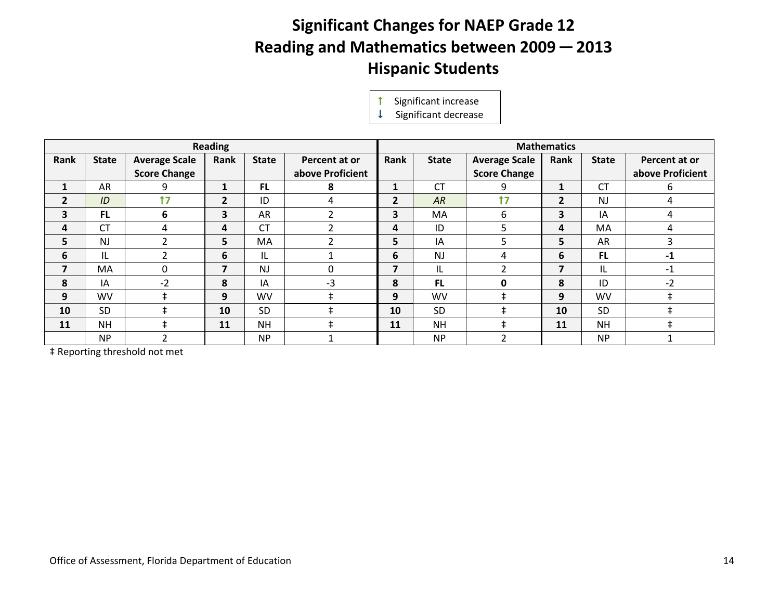# **Significant Changes for NAEP Grade 12 Reading and Mathematics between 2009 ─ 2013 Hispanic Students**

**1** Significant increase<br> **1** Significant decrease

|                |              |                      | <b>Reading</b> |              |                   |      |              |                      | <b>Mathematics</b> |              |                  |
|----------------|--------------|----------------------|----------------|--------------|-------------------|------|--------------|----------------------|--------------------|--------------|------------------|
| Rank           | <b>State</b> | <b>Average Scale</b> | Rank           | <b>State</b> | Percent at or     | Rank | <b>State</b> | <b>Average Scale</b> | Rank               | <b>State</b> | Percent at or    |
|                |              | <b>Score Change</b>  |                |              | above Proficient  |      |              | <b>Score Change</b>  |                    |              | above Proficient |
| 1              | AR           | 9                    | 1              | <b>FL</b>    | 8                 | 1    | <b>CT</b>    | 9                    | $\mathbf{1}$       | <b>CT</b>    | 6                |
| $\overline{2}$ | ID           | 17                   | $\overline{2}$ | ID           | 4                 | 2    | AR           | 17                   | $\overline{2}$     | <b>NJ</b>    | 4                |
| 3              | <b>FL</b>    | 6                    | 3              | AR           | 2                 | 3    | MA           | 6                    | 3                  | IA           | 4                |
| 4              | <b>CT</b>    | 4                    | 4              | <b>CT</b>    | C.                | 4    | ID           | 5                    | 4                  | MA           | 4                |
| 5              | <b>NJ</b>    | ∍                    | 5              | MA           | $\mathbf{\hat{}}$ | 5.   | ΙA           | 5                    | 5                  | AR           | 3                |
| 6              | IL           | ∍                    | 6              | IL           |                   | 6    | <b>NJ</b>    | 4                    | 6                  | <b>FL</b>    | $-1$             |
| 7              | MA           | 0                    | 7              | <b>NJ</b>    | 0                 | 7    | IL           | ີ                    | 7                  | IL           | $-1$             |
| 8              | IA           | $-2$                 | 8              | IA           | $-3$              | 8    | <b>FL</b>    | O                    | 8                  | ID           | $-2$             |
| 9              | <b>WV</b>    | $\ddagger$           | 9              | WV           | $\ddagger$        | 9    | <b>WV</b>    | $\ddagger$           | 9                  | WV           | $\ddagger$       |
| 10             | <b>SD</b>    |                      | 10             | <b>SD</b>    |                   | 10   | <b>SD</b>    |                      | 10                 | <b>SD</b>    | $\pm$            |
| 11             | <b>NH</b>    | ŧ                    | 11             | NΗ           |                   | 11   | <b>NH</b>    | ŧ                    | 11                 | <b>NH</b>    | $\ddagger$       |
|                | <b>NP</b>    | $\overline{2}$       |                | <b>NP</b>    |                   |      | <b>NP</b>    | ຳ                    |                    | <b>NP</b>    |                  |

‡ Reporting threshold not met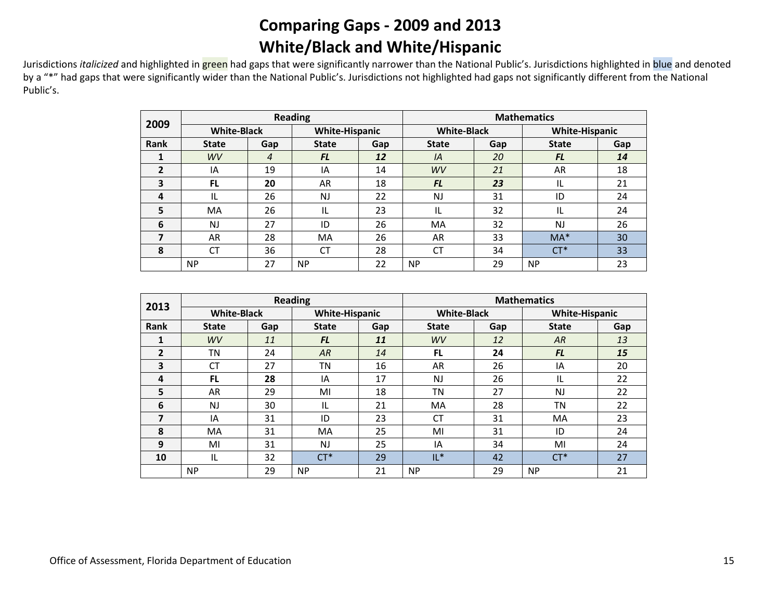### **Comparing Gaps - 2009 and 2013 White/Black and White/Hispanic**

Jurisdictions *italicized* and highlighted in green had gaps that were significantly narrower than the National Public's. Jurisdictions highlighted in blue and denoted by a "\*" had gaps that were significantly wider than the National Public's. Jurisdictions not highlighted had gaps not significantly different from the National Public's.

| 2009 |                    |     | <b>Reading</b>        |     | <b>Mathematics</b> |     |                       |     |  |  |  |
|------|--------------------|-----|-----------------------|-----|--------------------|-----|-----------------------|-----|--|--|--|
|      | <b>White-Black</b> |     | <b>White-Hispanic</b> |     | <b>White-Black</b> |     | <b>White-Hispanic</b> |     |  |  |  |
| Rank | <b>State</b>       | Gap | <b>State</b>          | Gap | <b>State</b>       | Gap | <b>State</b>          | Gap |  |  |  |
|      | WV                 | 4   | <b>FL</b>             | 12  | IA                 | 20  | <b>FL</b>             | 14  |  |  |  |
| 2    | ΙA                 | 19  | IA                    | 14  | WV                 | 21  | AR                    | 18  |  |  |  |
| 3    | <b>FL</b>          | 20  | 18<br>AR              |     | <b>FL</b>          | 23  | IL                    | 21  |  |  |  |
| 4    | IL                 | 26  | 22<br>NJ              |     | NJ                 | 31  | ID                    | 24  |  |  |  |
| 5    | <b>MA</b>          | 26  | IL                    | 23  | IL                 | 32  | IL                    | 24  |  |  |  |
| 6    | <b>NJ</b>          | 27  | ID                    | 26  | MA                 | 32  | <b>NJ</b>             | 26  |  |  |  |
|      | AR                 | 28  | MA                    | 26  | AR                 | 33  | $MA*$                 | 30  |  |  |  |
| 8    | <b>CT</b><br>36    |     | <b>CT</b>             | 28  | CT                 | 34  | $CT*$                 | 33  |  |  |  |
|      | <b>NP</b>          | 27  | <b>NP</b>             | 22  | <b>NP</b>          | 29  | <b>NP</b>             | 23  |  |  |  |

| 2013           |                    |     | <b>Reading</b>        |          | <b>Mathematics</b> |     |                       |     |  |  |  |
|----------------|--------------------|-----|-----------------------|----------|--------------------|-----|-----------------------|-----|--|--|--|
|                | <b>White-Black</b> |     | <b>White-Hispanic</b> |          | <b>White-Black</b> |     | <b>White-Hispanic</b> |     |  |  |  |
| <b>Rank</b>    | <b>State</b>       | Gap | <b>State</b>          | Gap      | <b>State</b>       | Gap | <b>State</b>          | Gap |  |  |  |
| 1              | <b>WV</b>          | 11  | <b>FL</b>             | 11       | WV                 | 12  | AR                    | 13  |  |  |  |
| $\overline{2}$ | ΤN                 | 24  | AR                    | 14       |                    | 24  | <b>FL</b>             | 15  |  |  |  |
| 3              | CT                 | 27  |                       | 16<br>ΤN |                    | 26  | ΙA                    | 20  |  |  |  |
| 4              | <b>FL</b>          | 28  | 17<br>IA              |          | <b>NJ</b>          | 26  | IL                    | 22  |  |  |  |
| 5              | AR                 | 29  | MI                    | 18       | ΤN                 | 27  | NJ                    | 22  |  |  |  |
| 6              | <b>NJ</b>          | 30  | IL                    | 21       | MA                 | 28  | TN                    | 22  |  |  |  |
| 7              | IA                 | 31  | ID                    | 23       | CT                 | 31  | MA                    | 23  |  |  |  |
| 8              | <b>MA</b>          | 31  | MA                    | 25       | MI                 | 31  | ID                    | 24  |  |  |  |
| 9              | MI                 | 31  | NJ                    | 25       | IA                 | 34  | MI                    | 24  |  |  |  |
| 10             | 32<br>IL           |     | $CT^*$                | 29       | $IL^*$             | 42  | $CT^*$                | 27  |  |  |  |
|                | <b>NP</b>          | 29  | <b>NP</b>             | 21       | <b>NP</b>          | 29  | <b>NP</b>             | 21  |  |  |  |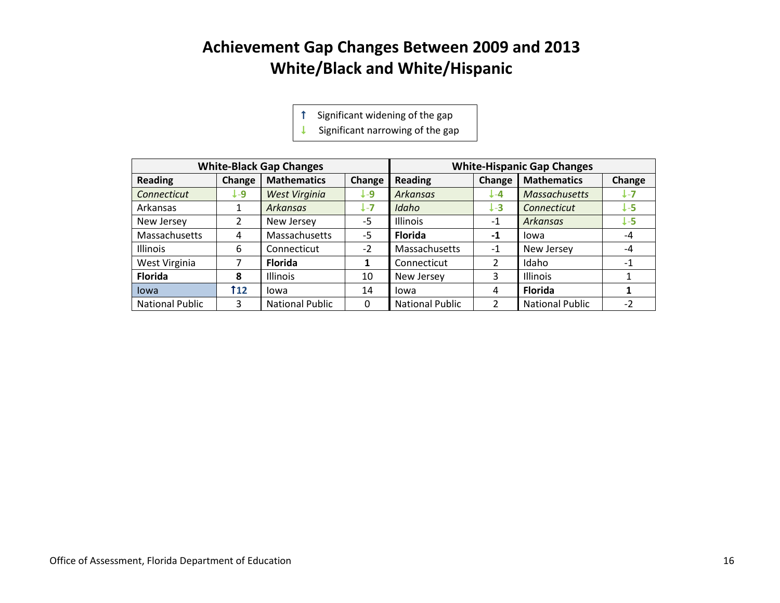# **Achievement Gap Changes Between 2009 and 2013 White/Black and White/Hispanic**

Significant widening of the gap

 $\downarrow$  Significant narrowing of the gap

|                        |        | <b>White-Black Gap Changes</b> |         |                        |                | <b>White-Hispanic Gap Changes</b> |                 |
|------------------------|--------|--------------------------------|---------|------------------------|----------------|-----------------------------------|-----------------|
| <b>Reading</b>         | Change | <b>Mathematics</b>             | Change  | <b>Reading</b>         | Change         | <b>Mathematics</b>                | Change          |
| Connecticut            | L-9    | West Virginia                  | J-9     | <b>Arkansas</b>        | $L - 4$        | <b>Massachusetts</b>              | $1-7$           |
| Arkansas               | 1      | <b>Arkansas</b>                | $L - 7$ | Idaho                  | $+3$           | Connecticut                       | I-5             |
| New Jersey             | 2      | New Jersey                     | $-5$    | <b>Illinois</b>        | $-1$           | <b>Arkansas</b>                   | $\downarrow$ -5 |
| Massachusetts          | 4      | Massachusetts                  | $-5$    | <b>Florida</b>         | $-1$           | lowa                              | -4              |
| <b>Illinois</b>        | 6      | Connecticut                    | $-2$    | Massachusetts          | $-1$           | New Jersey                        | -4              |
| West Virginia          |        | <b>Florida</b>                 | 1       | Connecticut            | $\overline{2}$ | Idaho                             | $-1$            |
| <b>Florida</b>         | 8      | Illinois                       | 10      | New Jersey             | 3              | <b>Illinois</b>                   |                 |
| lowa                   | T 12   | lowa                           | 14      | lowa                   | 4              | <b>Florida</b>                    |                 |
| <b>National Public</b> | 3      | <b>National Public</b>         | 0       | <b>National Public</b> | 2              | <b>National Public</b>            | $-2$            |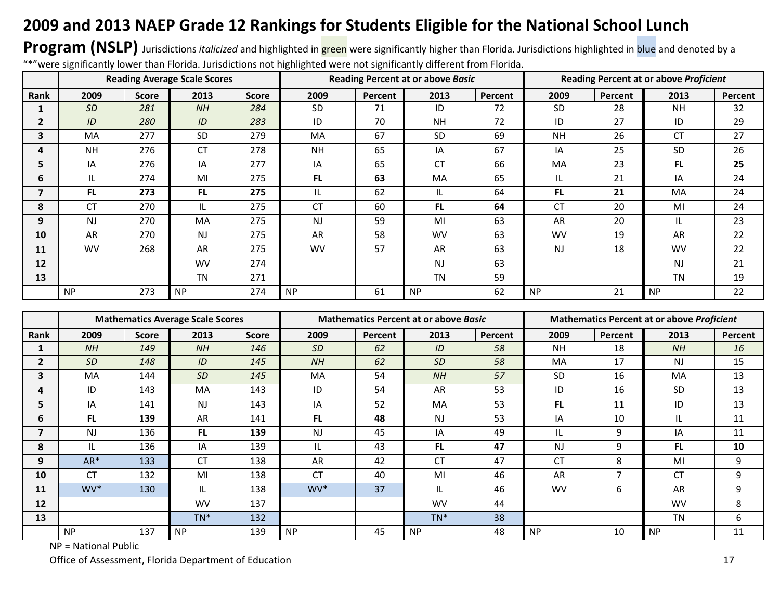# **2009 and 2013 NAEP Grade 12 Rankings for Students Eligible for the National School Lunch**

**Program (NSLP)** Jurisdictions *italicized* and highlighted in green were significantly higher than Florida. Jurisdictions highlighted in blue and denoted by a "\*"were significantly lower than Florida. Jurisdictions not highlighted were not significantly different from Florida.

|              |                |              | <b>Reading Average Scale Scores</b> |              |           |         | <b>Reading Percent at or above Basic</b> |         | <b>Reading Percent at or above Proficient</b> |         |           |         |  |
|--------------|----------------|--------------|-------------------------------------|--------------|-----------|---------|------------------------------------------|---------|-----------------------------------------------|---------|-----------|---------|--|
| Rank         | 2009           | <b>Score</b> | 2013                                | <b>Score</b> | 2009      | Percent | 2013                                     | Percent | 2009                                          | Percent | 2013      | Percent |  |
|              | <b>SD</b>      | 281          | NH                                  | 284          | <b>SD</b> | 71      | ID                                       | 72      | <b>SD</b>                                     | 28      | <b>NH</b> | 32      |  |
| $\mathbf{2}$ | ID             | 280          | ID                                  | 283          | ID        | 70      | <b>NH</b>                                | 72      | ID                                            | 27      | ID        | 29      |  |
| 3            | MA             | 277          | <b>SD</b>                           | 279          | MA        | 67      | <b>SD</b>                                | 69      | <b>NH</b>                                     | 26      | <b>CT</b> | 27      |  |
| 4            | <b>NH</b>      | 276          | <b>CT</b>                           | 278          | <b>NH</b> | 65      | IA                                       | 67      | IA                                            | 25      | <b>SD</b> | 26      |  |
| 5            | IA             | 276          | IA                                  | 277          | IA        | 65      | CT                                       | 66      | MA                                            | 23      | <b>FL</b> | 25      |  |
| 6            | IL             | 274          | MI                                  | 275          | FL.       | 63      | MA                                       | 65      | IL.                                           | 21      | IA        | 24      |  |
| 7            | FL.            | 273          | FL.                                 | 275          | IL        | 62      | IL                                       | 64      | FL.                                           | 21      | <b>MA</b> | 24      |  |
| 8            | <b>CT</b>      | 270          | IL                                  | 275          | <b>CT</b> | 60      | FL.                                      | 64      | <b>CT</b>                                     | 20      | MI        | 24      |  |
| 9            | N <sub>J</sub> | 270          | MA                                  | 275          | <b>NJ</b> | 59      | MI                                       | 63      | AR                                            | 20      | IL        | 23      |  |
| 10           | AR             | 270          | <b>NJ</b>                           | 275          | AR        | 58      | <b>WV</b>                                | 63      | <b>WV</b>                                     | 19      | AR        | 22      |  |
| 11           | <b>WV</b>      | 268          | AR                                  | 275          | <b>WV</b> | 57      | AR                                       | 63      | <b>NJ</b>                                     | 18      | <b>WV</b> | 22      |  |
| 12           |                |              | <b>WV</b>                           | 274          |           |         | <b>NJ</b>                                | 63      |                                               |         | <b>NJ</b> | 21      |  |
| 13           |                |              | <b>TN</b>                           | 271          |           |         | <b>TN</b>                                | 59      |                                               |         | <b>TN</b> | 19      |  |
|              | <b>NP</b>      | 273          | <b>NP</b>                           | 274          | <b>NP</b> | 61      | <b>NP</b>                                | 62      | <b>NP</b>                                     | 21      | <b>NP</b> | 22      |  |

|                |           |              | <b>Mathematics Average Scale Scores</b> |              |           |         | <b>Mathematics Percent at or above Basic</b> |         | <b>Mathematics Percent at or above Proficient</b> |         |           |         |  |
|----------------|-----------|--------------|-----------------------------------------|--------------|-----------|---------|----------------------------------------------|---------|---------------------------------------------------|---------|-----------|---------|--|
| Rank           | 2009      | <b>Score</b> | 2013                                    | <b>Score</b> | 2009      | Percent | 2013                                         | Percent | 2009                                              | Percent | 2013      | Percent |  |
|                | NH        | 149          | NH                                      | 146          | SD        | 62      | ID                                           | 58      | <b>NH</b>                                         | 18      | NH        | 16      |  |
| $\mathbf{2}$   | <b>SD</b> | 148          | ID                                      | 145          | NH        | 62      | <b>SD</b>                                    | 58      | MA                                                | 17      | <b>NJ</b> | 15      |  |
| 3              | MA        | 144          | <b>SD</b>                               | 145          | MA        | 54      | NH                                           | 57      | <b>SD</b>                                         | 16      | MA        | 13      |  |
| 4              | ID        | 143          | MA                                      | 143          | ID        | 54      | AR                                           | 53      | ID                                                | 16      | <b>SD</b> | 13      |  |
| 5              | IA        | 141          | <b>NJ</b>                               | 143          | IA        | 52      | MA                                           | 53      | FL.                                               | 11      | ID        | 13      |  |
| 6              | <b>FL</b> | 139          | AR                                      | 141          | <b>FL</b> | 48      | <b>NJ</b>                                    | 53      | IA                                                | 10      | IL        | 11      |  |
| $\overline{ }$ | <b>NJ</b> | 136          | FL.                                     | 139          | <b>NJ</b> | 45      | IA                                           | 49      | IL                                                | 9       | IA        | 11      |  |
| 8              | IL        | 136          | IA                                      | 139          | IL        | 43      | <b>FL</b>                                    | 47      | NJ                                                | 9       | FL.       | 10      |  |
| 9              | AR*       | 133          | <b>CT</b>                               | 138          | AR        | 42      | <b>CT</b>                                    | 47      | <b>CT</b>                                         | 8       | MI        | 9       |  |
| 10             | <b>CT</b> | 132          | MI                                      | 138          | <b>CT</b> | 40      | MI                                           | 46      | AR                                                | 7       | <b>CT</b> | 9       |  |
| 11             | WV*       | 130          | IL                                      | 138          | WV*       | 37      | IL                                           | 46      | <b>WV</b>                                         | 6       | AR        | 9       |  |
| 12             |           |              | <b>WV</b>                               | 137          |           |         | <b>WV</b>                                    | 44      |                                                   |         | <b>WV</b> | 8       |  |
| 13             |           |              | $TN^*$                                  | 132          |           |         | $TN^*$                                       | 38      |                                                   |         | <b>TN</b> | 6       |  |
|                | <b>NP</b> | 137          | <b>NP</b>                               | 139          | <b>NP</b> | 45      | <b>NP</b>                                    | 48      | <b>NP</b>                                         | 10      | <b>NP</b> | 11      |  |

NP = National Public

Office of Assessment, Florida Department of Education 17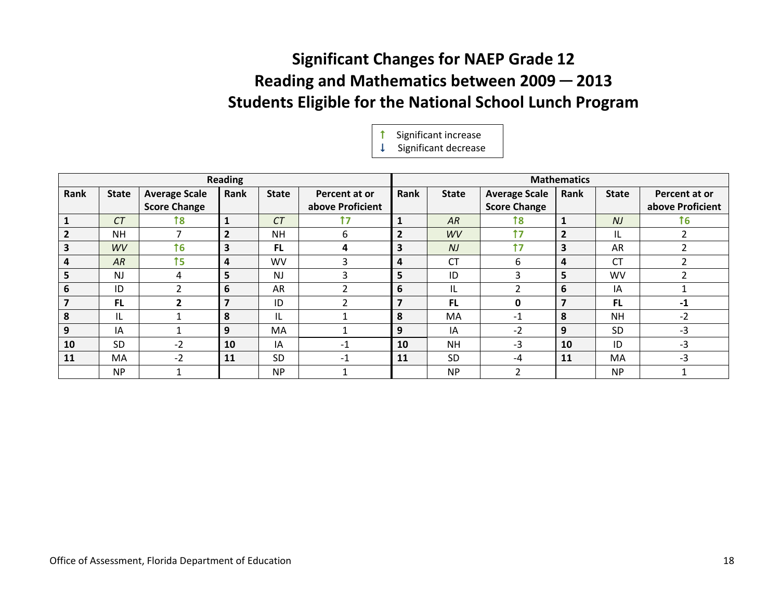# **Significant Changes for NAEP Grade 12 Reading and Mathematics between 2009 ─ 2013 Students Eligible for the National School Lunch Program**

 Significant increase  $\downarrow$  Significant decrease

|                         |              |                      | <b>Reading</b>          |                |                  |                |                |                      | <b>Mathematics</b>      |                |                  |
|-------------------------|--------------|----------------------|-------------------------|----------------|------------------|----------------|----------------|----------------------|-------------------------|----------------|------------------|
| Rank                    | <b>State</b> | <b>Average Scale</b> | Rank                    | <b>State</b>   | Percent at or    | Rank           | <b>State</b>   | <b>Average Scale</b> | Rank                    | <b>State</b>   | Percent at or    |
|                         |              | <b>Score Change</b>  |                         |                | above Proficient |                |                | <b>Score Change</b>  |                         |                | above Proficient |
| 1                       | CT           | 18                   | $\mathbf{1}$            | CT             | 17               | $\mathbf{1}$   | AR             | 18                   | $\mathbf{1}$            | N <sub>J</sub> | 16               |
| $\overline{2}$          | <b>NH</b>    |                      | $\overline{2}$          | <b>NH</b>      | 6                | $\overline{2}$ | <b>WV</b>      | 17                   | $\overline{2}$          | IL             | $\overline{2}$   |
| $\overline{\mathbf{3}}$ | WV           | 16                   | $\overline{\mathbf{3}}$ | <b>FL</b>      | 4                | 3              | N <sub>J</sub> | 17                   | $\overline{\mathbf{3}}$ | AR             | ำ                |
| $\overline{a}$          | AR           | $15$                 | 4                       | <b>WV</b>      | 3                | 4              | <b>CT</b>      | 6                    | 4                       | <b>CT</b>      |                  |
| 5                       | <b>NJ</b>    | 4                    | 5                       | N <sub>J</sub> | 3                | 5              | ID             | ς                    | 5                       | WV             |                  |
| 6                       | ID           |                      | 6                       | <b>AR</b>      | $\overline{2}$   | 6              | IL             |                      | 6                       | IA             |                  |
| $\overline{\mathbf{z}}$ | <b>FL</b>    |                      | $\overline{7}$          | ID             |                  | $\overline{7}$ | <b>FL</b>      | 0                    | $\overline{7}$          | <b>FL</b>      | $-1$             |
| 8                       | IL           |                      | 8                       | IL             |                  | 8              | MA             | $-1$                 | 8                       | <b>NH</b>      | $-2$             |
| 9                       | IA           |                      | 9                       | MA.            |                  | 9              | ΙA             | $-2$                 | 9                       | <b>SD</b>      | $-3$             |
| 10                      | SD           | $-2$                 | 10                      | IA             | $-1$             | 10             | <b>NH</b>      | $-3$                 | 10                      | ID             | $-3$             |
| 11                      | MA           | $-2$                 | 11                      | SD             | $-1$             | 11             | <b>SD</b>      | $-4$                 | 11                      | МA             | $-3$             |
|                         | <b>NP</b>    |                      |                         | <b>NP</b>      |                  |                | <b>NP</b>      | $\mathcal{P}$        |                         | <b>NP</b>      |                  |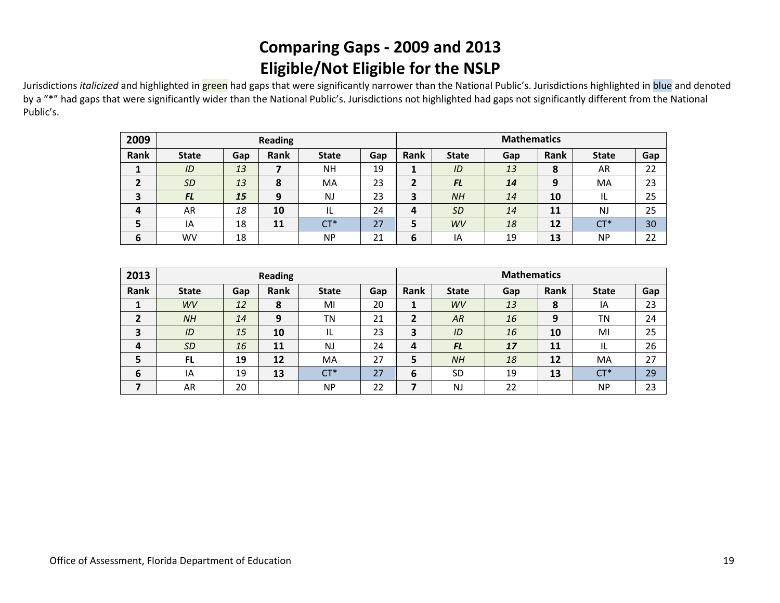# **Comparing Gaps - 2009 and 2013 Eligible/Not Eligible for the NSLP**

Jurisdictions *italicized* and highlighted in green had gaps that were significantly narrower than the National Public's. Jurisdictions highlighted in blue and denoted by a "\*" had gaps that were significantly wider than the National Public's. Jurisdictions not highlighted had gaps not significantly different from the National Public's.

| 2009 |              | <b>Reading</b> |      |              | <b>Mathematics</b> |      |              |     |      |              |     |
|------|--------------|----------------|------|--------------|--------------------|------|--------------|-----|------|--------------|-----|
| Rank | <b>State</b> | Gap            | Rank | <b>State</b> | Gap                | Rank | <b>State</b> | Gap | Rank | <b>State</b> | Gap |
|      | ID           | 13             |      | <b>NH</b>    | 19                 |      | ID           | 13  | 8    | AR           | 22  |
|      | <b>SD</b>    | 13             | 8    | MA           | 23                 |      | <b>FL</b>    | 14  | 9    | MA           | 23  |
| 3    | <b>FL</b>    | 15             | 9    | <b>NJ</b>    | 23                 | 3    | NH           | 14  | 10   | IL           | 25  |
| 4    | AR           | 18             | 10   | IL           | 24                 | Δ    | <b>SD</b>    | 14  | 11   | NJ           | 25  |
| 5    | IA           | 18             | 11   | $CT*$        | 27                 | 5    | WV           | 18  | 12   | $CT^*$       | 30  |
| 6    | <b>WV</b>    | 18             |      | <b>NP</b>    | 21                 | 6    | IA           | 19  | 13   | <b>NP</b>    | 22  |

| 2013                    |              |     | <b>Reading</b> |              |     | <b>Mathematics</b> |              |     |      |              |     |  |
|-------------------------|--------------|-----|----------------|--------------|-----|--------------------|--------------|-----|------|--------------|-----|--|
| Rank                    | <b>State</b> | Gap | Rank           | <b>State</b> | Gap | <b>Rank</b>        | <b>State</b> | Gap | Rank | <b>State</b> | Gap |  |
|                         | <b>WV</b>    | 12  | 8              | MI           | 20  | л.                 | WV           | 13  | 8    | IA           | 23  |  |
|                         | NH           | 14  | 9              | <b>TN</b>    | 21  | $\overline{2}$     | AR           | 16  | 9    | TN           | 24  |  |
| 3                       | ID           | 15  | 10             | IL           | 23  | 3                  | ID           | 16  | 10   | MI           | 25  |  |
| $\overline{\mathbf{4}}$ | <b>SD</b>    | 16  | 11             | NJ           | 24  | 4                  | <b>FL</b>    | 17  | 11   | IL           | 26  |  |
|                         | <b>FL</b>    | 19  | 12             | MA           | 27  | 5                  | NH           | 18  | 12   | MA           | 27  |  |
| 6                       | IA           | 19  | 13             | $CT^*$       | 27  | 6                  | SD           | 19  | 13   | $CT*$        | 29  |  |
|                         | AR           | 20  |                | <b>NP</b>    | 22  |                    | <b>NJ</b>    | 22  |      | <b>NP</b>    | 23  |  |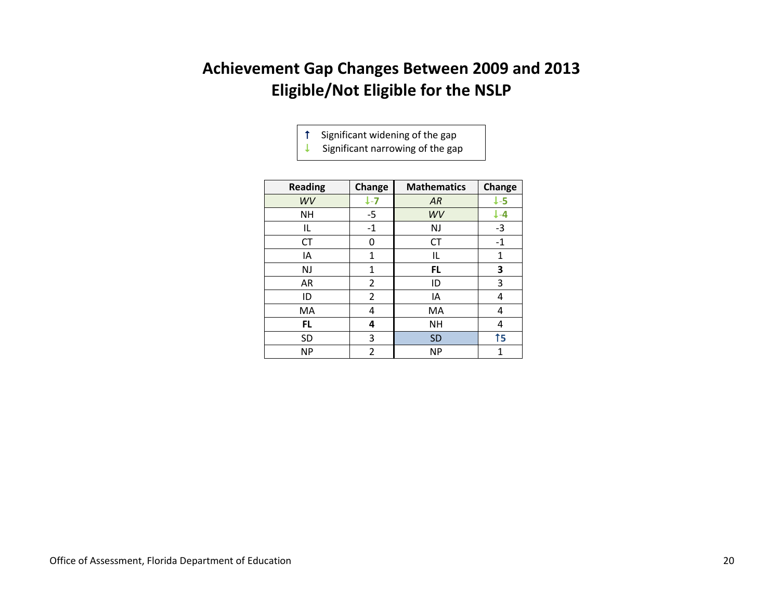### **Achievement Gap Changes Between 2009 and 2013 Eligible/Not Eligible for the NSLP**

Significant widening of the gap

 $\downarrow$  Significant narrowing of the gap

| <b>Reading</b> | Change  | <b>Mathematics</b> | Change          |
|----------------|---------|--------------------|-----------------|
| WV             | $l - 7$ | AR                 | $\downarrow$ -5 |
| NΗ             | $-5$    | WV                 | ↓-4             |
| IL             | $-1$    | NJ                 | $-3$            |
| CT             | 0       | CT                 | $-1$            |
| IA             | 1       | IL                 | 1               |
| <b>NJ</b>      | 1       | <b>FL</b>          | 3               |
| AR             | 2       | ID                 | 3               |
| ID             | 2       | IA                 | 4               |
| МA             | 4       | MA                 | 4               |
| FL.            | 4       | <b>NH</b>          | 4               |
| <b>SD</b>      | 3       | <b>SD</b>          | 15              |
| <b>NP</b>      | 2       | <b>NP</b>          | 1               |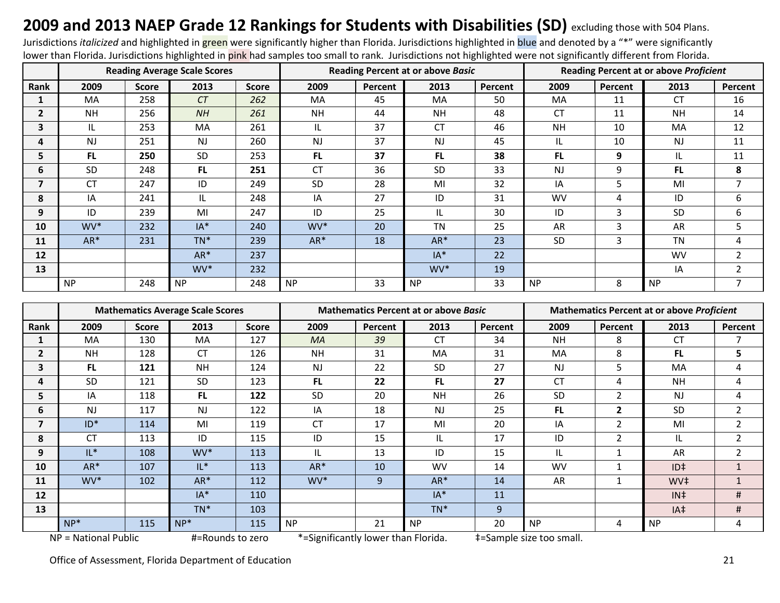# 2009 and 2013 NAEP Grade 12 Rankings for Students with Disabilities (SD) excluding those with 504 Plans.<br>Jurisdictions *italicized* and highlighted in **green** were significantly higher than Florida. Jurisdictions highlight

lower than Florida. Jurisdictions highlighted in pink had samples too small to rank. Jurisdictions not highlighted were not significantly different from Florida.

|              |           |              | <b>Reading Average Scale Scores</b> |              |           |         | <b>Reading Percent at or above Basic</b> |         | <b>Reading Percent at or above Proficient</b> |         |           |                |  |
|--------------|-----------|--------------|-------------------------------------|--------------|-----------|---------|------------------------------------------|---------|-----------------------------------------------|---------|-----------|----------------|--|
| Rank         | 2009      | <b>Score</b> | 2013                                | <b>Score</b> | 2009      | Percent | 2013                                     | Percent | 2009                                          | Percent | 2013      | Percent        |  |
|              | <b>MA</b> | 258          | CT                                  | 262          | MA        | 45      | MA                                       | 50      | <b>MA</b>                                     | 11      | <b>CT</b> | 16             |  |
| $\mathbf{2}$ | <b>NH</b> | 256          | NH                                  | 261          | <b>NH</b> | 44      | <b>NH</b>                                | 48      | <b>CT</b>                                     | 11      | <b>NH</b> | 14             |  |
| 3            | IL.       | 253          | <b>MA</b>                           | 261          | IL.       | 37      | <b>CT</b>                                | 46      | <b>NH</b>                                     | 10      | MA        | 12             |  |
| 4            | <b>NJ</b> | 251          | NJ                                  | 260          | <b>NJ</b> | 37      | <b>NJ</b>                                | 45      | IL.                                           | 10      | <b>NJ</b> | 11             |  |
| 5            | FL.       | 250          | SD                                  | 253          | <b>FL</b> | 37      | <b>FL</b>                                | 38      | FL.                                           | 9       | IL        | 11             |  |
| 6            | SD        | 248          | FL.                                 | 251          | <b>CT</b> | 36      | SD                                       | 33      | <b>NJ</b>                                     | 9       | FL.       | 8              |  |
| 7            | <b>CT</b> | 247          | ID                                  | 249          | <b>SD</b> | 28      | MI                                       | 32      | IA                                            | 5       | MI        | 7              |  |
| 8            | IA        | 241          | IL                                  | 248          | IA        | 27      | ID                                       | 31      | <b>WV</b>                                     | 4       | ID        | 6              |  |
| 9            | ID        | 239          | MI                                  | 247          | ID        | 25      | IL.                                      | 30      | ID                                            | 3       | <b>SD</b> | 6              |  |
| 10           | WV*       | 232          | $IA*$                               | 240          | WV*       | 20      | TN                                       | 25      | AR                                            | 3       | AR        | 5              |  |
| 11           | AR*       | 231          | $TN^*$                              | 239          | AR*       | 18      | AR*                                      | 23      | <b>SD</b>                                     | 3       | <b>TN</b> | 4              |  |
| 12           |           |              | $AR*$                               | 237          |           |         | $IA*$                                    | 22      |                                               |         | <b>WV</b> | 2              |  |
| 13           |           |              | WV*                                 | 232          |           |         | WV <sup>*</sup>                          | 19      |                                               |         | IA        | 2              |  |
|              | <b>NP</b> | 248          | <b>NP</b>                           | 248          | <b>NP</b> | 33      | <b>NP</b>                                | 33      | <b>NP</b>                                     | 8       | <b>NP</b> | $\overline{7}$ |  |

|                      |           |                  | <b>Mathematics Average Scale Scores</b> |                                     |                |         | <b>Mathematics Percent at or above Basic</b> |                          | <b>Mathematics Percent at or above Proficient</b> |              |                 |                |
|----------------------|-----------|------------------|-----------------------------------------|-------------------------------------|----------------|---------|----------------------------------------------|--------------------------|---------------------------------------------------|--------------|-----------------|----------------|
| Rank                 | 2009      | <b>Score</b>     | 2013                                    | <b>Score</b>                        | 2009           | Percent | 2013                                         | Percent                  | 2009                                              | Percent      | 2013            | Percent        |
|                      | MA        | 130              | <b>MA</b>                               | 127                                 | <b>MA</b>      | 39      | <b>CT</b>                                    | 34                       | <b>NH</b>                                         | 8            | <b>CT</b>       |                |
| $\mathbf{2}$         | <b>NH</b> | 128              | <b>CT</b>                               | 126                                 | <b>NH</b>      | 31      | MA                                           | 31                       | MA                                                | 8            | <b>FL</b>       | 5              |
| 3                    | FL.       | 121              | <b>NH</b>                               | 124                                 | N <sub>J</sub> | 22      | SD                                           | 27                       | <b>NJ</b>                                         | 5            | MA              | 4              |
| 4                    | <b>SD</b> | 121              | <b>SD</b>                               | 123                                 | FL.            | 22      | FL.                                          | 27                       | <b>CT</b>                                         | 4            | <b>NH</b>       | 4              |
| 5                    | IA        | 118              | FL.                                     | 122                                 | SD             | 20      | <b>NH</b>                                    | 26                       | SD                                                | 2            | <b>NJ</b>       | 4              |
| 6                    | <b>NJ</b> | 117              | <b>NJ</b>                               | 122                                 | IA             | 18      | <b>NJ</b>                                    | 25                       | FL.                                               | $\mathbf{2}$ | <b>SD</b>       | $\overline{2}$ |
| 7                    | $ID*$     | 114              | MI                                      | 119                                 | <b>CT</b>      | 17      | MI                                           | 20                       | IA                                                | 2            | MI              | $\overline{2}$ |
| 8                    | <b>CT</b> | 113              | ID                                      | 115                                 | ID             | 15      | IL                                           | 17                       | ID                                                | 2            | IL              | $\overline{2}$ |
| 9                    | $IL^*$    | 108              | WV*                                     | 113                                 | IL             | 13      | ID                                           | 15                       | IL.                                               |              | AR              | $\overline{2}$ |
| 10                   | AR*       | 107              | $IL*$                                   | 113                                 | $AR*$          | 10      | <b>WV</b>                                    | 14                       | <b>WV</b>                                         | $\mathbf{1}$ | $ID+$           |                |
| 11                   | WV*       | 102              | $AR*$                                   | 112                                 | WV*            | 9       | AR*                                          | 14                       | AR                                                | 1            | WV <sup>‡</sup> | $\mathbf{1}$   |
| 12                   |           |                  | $IA*$                                   | 110                                 |                |         | $IA*$                                        | 11                       |                                                   |              | $IN^{\ddagger}$ | #              |
| 13                   |           |                  | $TN^*$                                  | 103                                 |                |         | TN*                                          | 9                        |                                                   |              | IA‡             | #              |
|                      | $NP*$     | 115              | $NP*$                                   | 115                                 | <b>NP</b>      | 21      | <b>NP</b>                                    | 20                       | <b>NP</b>                                         | 4            | <b>NP</b>       | 4              |
| NP = National Public |           | #=Rounds to zero |                                         | *=Significantly lower than Florida. |                |         |                                              | #=Sample size too small. |                                                   |              |                 |                |

Office of Assessment, Florida Department of Education 21 and 2008 2012 21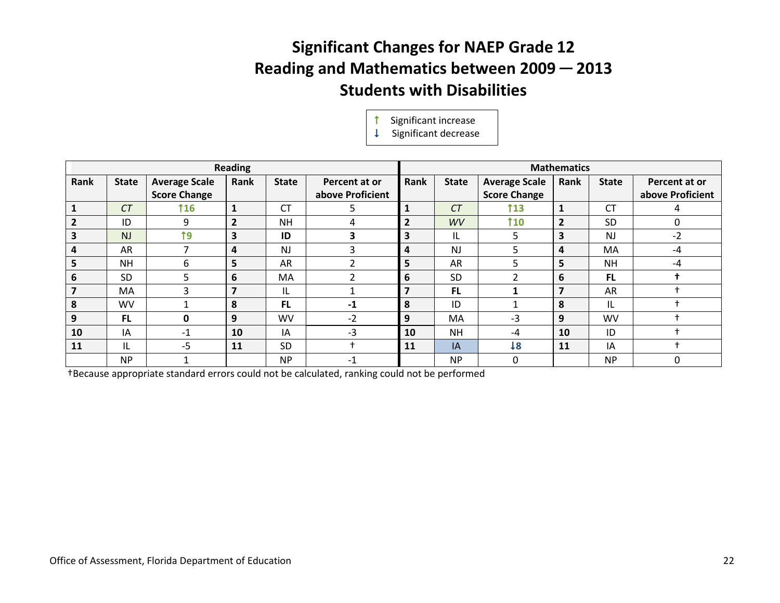# **Significant Changes for NAEP Grade 12 Reading and Mathematics between 2009 ─ 2013 Students with Disabilities**

Significant increase

 $\downarrow$  Significant decrease

|                |              |                      | <b>Reading</b> |              |                  | <b>Mathematics</b>      |              |                      |                |              |                  |
|----------------|--------------|----------------------|----------------|--------------|------------------|-------------------------|--------------|----------------------|----------------|--------------|------------------|
| Rank           | <b>State</b> | <b>Average Scale</b> | Rank           | <b>State</b> | Percent at or    | Rank                    | <b>State</b> | <b>Average Scale</b> | Rank           | <b>State</b> | Percent at or    |
|                |              | <b>Score Change</b>  |                |              | above Proficient |                         |              | <b>Score Change</b>  |                |              | above Proficient |
|                | CT           | <b>116</b>           |                | <b>CT</b>    | 5                | $\mathbf{1}$            | CT           | <b>113</b>           | $\mathbf{1}$   | <b>CT</b>    |                  |
| $\overline{2}$ | ID           | 9                    | $\overline{2}$ | <b>NH</b>    | 4                | $\overline{2}$          | WV           | 110                  | $\overline{2}$ | <b>SD</b>    | $\Omega$         |
|                | <b>NJ</b>    | 19                   | 3              | ID           | 3                | $\overline{\mathbf{3}}$ | IL           | 5                    | 3              | <b>NJ</b>    | $-2$             |
| 4              | AR           |                      | 4              | <b>NJ</b>    | 3                | 4                       | <b>NJ</b>    | 5                    | 4              | MA           | $-4$             |
| ь              | <b>NH</b>    | 6                    | 5              | AR           | ำ                | 5                       | AR           | ר                    | 5              | <b>NH</b>    | $-4$             |
| 6              | <b>SD</b>    | 5                    | 6              | MA           | 2                | 6                       | <b>SD</b>    |                      | 6              | FL.          |                  |
| 7              | MA           | 3                    | 7              | IL           | ٠                | 7                       | <b>FL</b>    |                      | $\overline{7}$ | AR           |                  |
| 8              | <b>WV</b>    |                      | 8              | <b>FL</b>    | $-1$             | 8                       | ID           |                      | 8              | IL           |                  |
| 9              | <b>FL</b>    | 0                    | 9              | <b>WV</b>    | $-2$             | 9                       | MA           | -3                   | 9              | WV           |                  |
| 10             | IA           | $-1$                 | 10             | IA           | $-3$             | 10                      | <b>NH</b>    | -4                   | 10             | ID           |                  |
| 11             | IL           | $-5$                 | 11             | <b>SD</b>    | $\div$           | 11                      | IA           | 18                   | 11             | IA           |                  |
|                | <b>NP</b>    |                      |                | <b>NP</b>    | $-1$             |                         | <b>NP</b>    | 0                    |                | <b>NP</b>    | $\Omega$         |

†Because appropriate standard errors could not be calculated, ranking could not be performed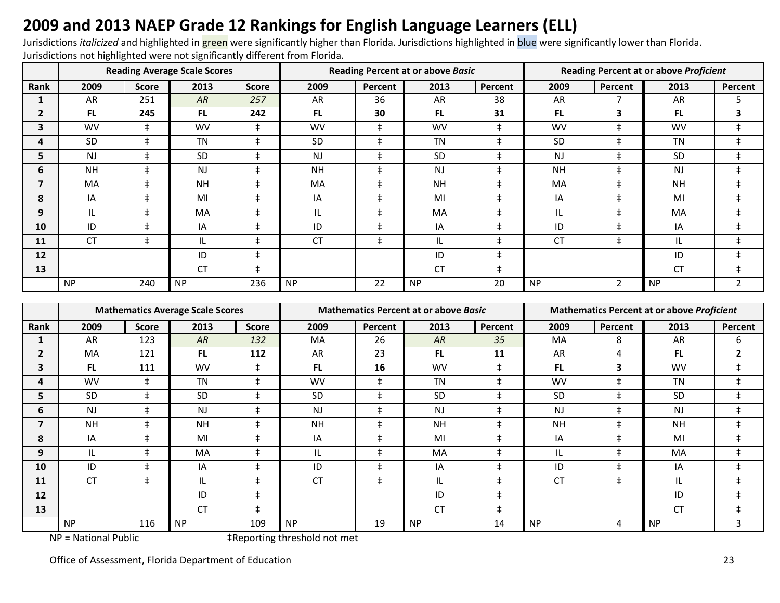# **2009 and 2013 NAEP Grade 12 Rankings for English Language Learners (ELL)**

Jurisdictions *italicized* and highlighted in green were significantly higher than Florida. Jurisdictions highlighted in blue were significantly lower than Florida. Jurisdictions not highlighted were not significantly different from Florida.

|              |           |              | <b>Reading Average Scale Scores</b> |              |                |            | <b>Reading Percent at or above Basic</b> |            | Reading Percent at or above Proficient |            |           |                |
|--------------|-----------|--------------|-------------------------------------|--------------|----------------|------------|------------------------------------------|------------|----------------------------------------|------------|-----------|----------------|
| Rank         | 2009      | <b>Score</b> | 2013                                | <b>Score</b> | 2009           | Percent    | 2013                                     | Percent    | 2009                                   | Percent    | 2013      | Percent        |
|              | AR        | 251          | AR                                  | 257          | AR             | 36         | <b>AR</b>                                | 38         | AR                                     |            | <b>AR</b> | 5              |
| $\mathbf{2}$ | FL.       | 245          | FL.                                 | 242          | FL.            | 30         | FL.                                      | 31         | <b>FL</b>                              | 3          | <b>FL</b> | 3              |
| 3            | <b>WV</b> | $\ddagger$   | <b>WV</b>                           | $\ddagger$   | <b>WV</b>      | $\ddagger$ | <b>WV</b>                                | $\ddagger$ | <b>WV</b>                              | $\ddagger$ | <b>WV</b> | $\ddagger$     |
| 4            | <b>SD</b> | $\pm$        | <b>TN</b>                           | $\ddagger$   | <b>SD</b>      | ŧ          | <b>TN</b>                                |            | <b>SD</b>                              | $\ddagger$ | <b>TN</b> | $\ddagger$     |
| 5            | <b>NJ</b> | $\pm$        | <b>SD</b>                           | $\ddagger$   | N <sub>J</sub> | $\ddagger$ | <b>SD</b>                                | $\ddagger$ | <b>NJ</b>                              | $\ddagger$ | <b>SD</b> | $\ddagger$     |
| 6            | <b>NH</b> | $\ddagger$   | <b>NJ</b>                           | $\ddagger$   | <b>NH</b>      | $\ddagger$ | <b>NJ</b>                                | $\ddagger$ | <b>NH</b>                              | $\ddagger$ | <b>NJ</b> | $\ddagger$     |
| 7            | MA        | $\ddagger$   | <b>NH</b>                           | $\ddagger$   | <b>MA</b>      | $\ddagger$ | <b>NH</b>                                | $\ddagger$ | MA                                     | $\ddagger$ | <b>NH</b> | $\ddagger$     |
| 8            | IA        | $\pm$        | MI                                  | $\pm$        | IA             | ŧ          | MI                                       | $\ddagger$ | IA                                     | $\ddagger$ | MI        | $\ddagger$     |
| 9            | IL        | $\pm$        | <b>MA</b>                           | $\ddagger$   | IL.            | $\ddagger$ | MA                                       |            | IL                                     | $\ddagger$ | MA        | $\ddagger$     |
| 10           | ID        | $\ddagger$   | IA                                  | $\ddagger$   | ID             | $\ddagger$ | IA                                       |            | ID                                     | $\ddagger$ | IA        | $\ddagger$     |
| 11           | <b>CT</b> | $\ddagger$   | IL                                  | $\ddagger$   | <b>CT</b>      | $\ddagger$ | IL                                       | ŧ          | <b>CT</b>                              | $\ddagger$ | IL        | $\ddagger$     |
| 12           |           |              | ID                                  | $\ddagger$   |                |            | ID                                       | ŧ          |                                        |            | ID        | $\ddagger$     |
| 13           |           |              | <b>CT</b>                           | $\ddagger$   |                |            | <b>CT</b>                                | $\ddagger$ |                                        |            | CT        | $\ddagger$     |
|              | <b>NP</b> | 240          | <b>NP</b>                           | 236          | <b>NP</b>      | 22         | <b>NP</b>                                | 20         | <b>NP</b>                              | 2          | <b>NP</b> | $\overline{2}$ |

|                |                |              | <b>Mathematics Average Scale Scores</b> |              |           |            | <b>Mathematics Percent at or above Basic</b> |            | <b>Mathematics Percent at or above Proficient</b> |            |           |                |
|----------------|----------------|--------------|-----------------------------------------|--------------|-----------|------------|----------------------------------------------|------------|---------------------------------------------------|------------|-----------|----------------|
| <b>Rank</b>    | 2009           | <b>Score</b> | 2013                                    | <b>Score</b> | 2009      | Percent    | 2013                                         | Percent    | 2009                                              | Percent    | 2013      | Percent        |
|                | AR             | 123          | AR                                      | 132          | MA        | 26         | AR                                           | 35         | MA                                                | 8          | AR        | 6              |
| $\overline{2}$ | <b>MA</b>      | 121          | <b>FL</b>                               | 112          | AR        | 23         | <b>FL</b>                                    | 11         | AR                                                | 4          | <b>FL</b> | $\overline{2}$ |
| 3              | FL.            | 111          | <b>WV</b>                               | $\pm$        | <b>FL</b> | 16         | <b>WV</b>                                    | $\ddagger$ | FL.                                               | 3          | <b>WV</b> | $\ddagger$     |
| 4              | <b>WV</b>      | $\ddagger$   | <b>TN</b>                               | $\ddagger$   | <b>WV</b> | $\ddagger$ | <b>TN</b>                                    | $\ddagger$ | <b>WV</b>                                         | $\ddagger$ | <b>TN</b> | $\ddagger$     |
| 5.             | <b>SD</b>      | $\pm$        | <b>SD</b>                               | $\pm$        | <b>SD</b> | $\ddagger$ | SD                                           | $\ddagger$ | SD                                                | $\ddagger$ | SD        | $\ddagger$     |
| 6              | N <sub>J</sub> |              | <b>NJ</b>                               | $\ddagger$   | <b>NJ</b> | $\ddagger$ | <b>NJ</b>                                    | $\ddagger$ | <b>NJ</b>                                         | $\ddagger$ | NJ        | $\ddagger$     |
| 7              | <b>NH</b>      | $\pm$        | <b>NH</b>                               | $\pm$        | <b>NH</b> | $\ddagger$ | <b>NH</b>                                    | $\ddagger$ | <b>NH</b>                                         | $\ddagger$ | <b>NH</b> | $\ddagger$     |
| 8              | IA             |              | MI                                      | $\ddagger$   | IA        | $\ddagger$ | MI                                           | $\ddagger$ | IA                                                | $\ddagger$ | MI        | $\ddagger$     |
| 9              | IL             | $\pm$        | MA                                      | $\ddagger$   | IL        | $\ddagger$ | MA                                           | $\ddagger$ | IL                                                | $\ddagger$ | MA        | $\ddagger$     |
| 10             | ID             |              | IA                                      | $\ddagger$   | ID        | $\ddagger$ | IA                                           | $\ddagger$ | ID                                                | $\ddagger$ | IA        | $\ddagger$     |
| 11             | <b>CT</b>      | ‡            | IL                                      | $\ddagger$   | <b>CT</b> | $\ddagger$ | IL                                           | $\ddagger$ | <b>CT</b>                                         | $\ddagger$ | IL        | ŧ              |
| 12             |                |              | ID                                      | $\pm$        |           |            | ID                                           | $\ddagger$ |                                                   |            | ID        | $\ddagger$     |
| 13             |                |              | <b>CT</b>                               | $\pm$        |           |            | <b>CT</b>                                    | $\ddagger$ |                                                   |            | CT        | $\ddagger$     |
| .              | <b>NP</b>      | 116          | <b>NP</b><br>$\sim$ $-$                 | 109          | <b>NP</b> | 19         | <b>NP</b>                                    | 14         | <b>NP</b>                                         | 4          | <b>NP</b> | 3              |

NP = National Public  $\ddot{ }$  +Reporting threshold not met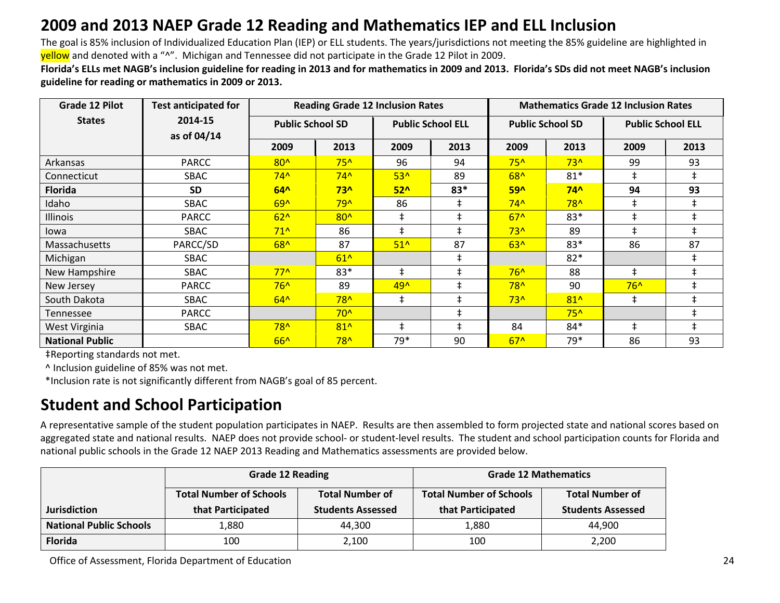### **2009 and 2013 NAEP Grade 12 Reading and Mathematics IEP and ELL Inclusion**

The goal is 85% inclusion of Individualized Education Plan (IEP) or ELL students. The years/jurisdictions not meeting the 85% guideline are highlighted in yellow and denoted with a "^". Michigan and Tennessee did not participate in the Grade 12 Pilot in 2009.

**Florida's ELLs met NAGB's inclusion guideline for reading in 2013 and for mathematics in 2009 and 2013. Florida's SDs did not meet NAGB's inclusion guideline for reading or mathematics in 2009 or 2013.**

| Grade 12 Pilot         | <b>Test anticipated for</b> | <b>Reading Grade 12 Inclusion Rates</b><br><b>Mathematics Grade 12 Inclusion Rates</b> |              |                 |                          |       |                         |            |                          |  |
|------------------------|-----------------------------|----------------------------------------------------------------------------------------|--------------|-----------------|--------------------------|-------|-------------------------|------------|--------------------------|--|
| <b>States</b>          | 2014-15<br>as of 04/14      | <b>Public School SD</b>                                                                |              |                 | <b>Public School ELL</b> |       | <b>Public School SD</b> |            | <b>Public School ELL</b> |  |
|                        |                             | 2009                                                                                   | 2013         | 2009            | 2013                     | 2009  | 2013                    | 2009       | 2013                     |  |
| Arkansas               | <b>PARCC</b>                | $80^$                                                                                  | $75^$        | 96              | 94                       | $75^$ | $73^$                   | 99         | 93                       |  |
| Connecticut            | SBAC                        | $74^$                                                                                  | $74^$        | $53^$           | 89                       | 68^   | $81*$                   | $\pm$      | $\ddagger$               |  |
| <b>Florida</b>         | <b>SD</b>                   | $64^$                                                                                  | $73^$        | 52 <sub>0</sub> | $83*$                    | $59^$ | $74^$                   | 94         | 93                       |  |
| Idaho                  | SBAC                        | $69^$                                                                                  | $79^$        | 86              | $\ddagger$               | $74^$ | $78^$                   | $\pm$      |                          |  |
| Illinois               | <b>PARCC</b>                | $62^$                                                                                  | $80^$        | $\ddagger$      | $\pm$                    | $67^$ | $83*$                   | $\pm$      |                          |  |
| lowa                   | SBAC                        | $71^{\circ}$                                                                           | 86           | $\pm$           |                          | $73^$ | 89                      | $\pm$      |                          |  |
| Massachusetts          | PARCC/SD                    | $68^$                                                                                  | 87           | $51^$           | 87                       | $63^$ | $83*$                   | 86         | 87                       |  |
| Michigan               | SBAC                        |                                                                                        | $61^$        |                 | $\ddagger$               |       | $82*$                   |            | $\pm$                    |  |
| New Hampshire          | SBAC                        | $77^{\circ}$                                                                           | 83*          | $\pm$           | $\ddagger$               | $76^$ | 88                      | $\pm$      | $\ddagger$               |  |
| New Jersey             | <b>PARCC</b>                | $76^$                                                                                  | 89           | 49^             | $\pm$                    | $78^$ | 90                      | $76^$      | $\ddagger$               |  |
| South Dakota           | SBAC                        | $64^$                                                                                  | $78^$        | $\ddagger$      | $\ddagger$               | $73^$ | $81^$                   | $\ddagger$ | $\pm$                    |  |
| Tennessee              | PARCC                       |                                                                                        | $70^{\circ}$ |                 | $\pm$                    |       | $75^$                   |            | $\pm$                    |  |
| West Virginia          | SBAC                        | $78^$                                                                                  | $81^$        | $\pm$           | $\pm$                    | 84    | $84*$                   | $\pm$      | $\pm$                    |  |
| <b>National Public</b> |                             | $66^$                                                                                  | $78^$        | 79*             | 90                       | $67^$ | 79*                     | 86         | 93                       |  |

‡Reporting standards not met.

^ Inclusion guideline of 85% was not met.

\*Inclusion rate is not significantly different from NAGB's goal of 85 percent.

### **Student and School Participation**

A representative sample of the student population participates in NAEP. Results are then assembled to form projected state and national scores based on aggregated state and national results. NAEP does not provide school- or student-level results. The student and school participation counts for Florida and national public schools in the Grade 12 NAEP 2013 Reading and Mathematics assessments are provided below.

|                                | <b>Grade 12 Reading</b>        |                          | <b>Grade 12 Mathematics</b>    |                          |  |  |
|--------------------------------|--------------------------------|--------------------------|--------------------------------|--------------------------|--|--|
|                                | <b>Total Number of Schools</b> | <b>Total Number of</b>   | <b>Total Number of Schools</b> | <b>Total Number of</b>   |  |  |
| <b>Jurisdiction</b>            | that Participated              | <b>Students Assessed</b> | that Participated              | <b>Students Assessed</b> |  |  |
| <b>National Public Schools</b> | 1.880                          | 44.300                   | 1,880                          | 44.900                   |  |  |
| <b>Florida</b>                 | 100                            | 2,100                    | 100                            | 2,200                    |  |  |

Office of Assessment, Florida Department of Education 24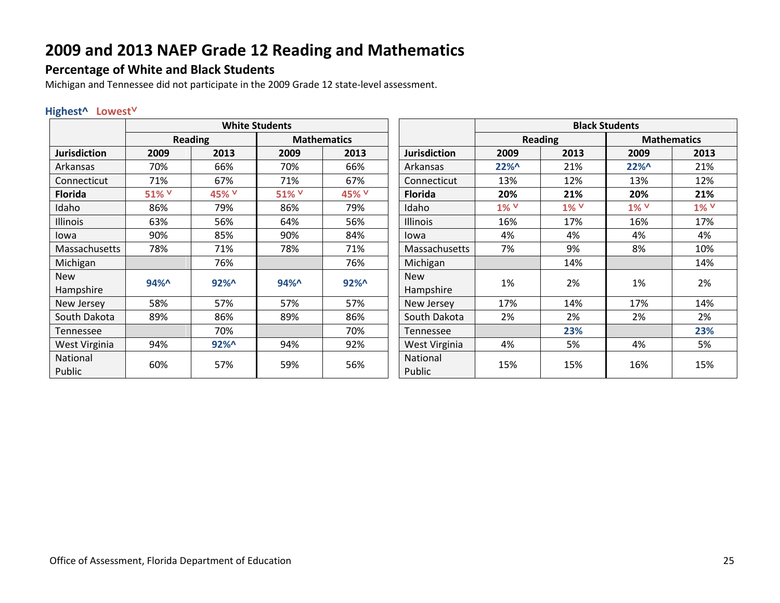#### **Percentage of White and Black Students**

Michigan and Tennessee did not participate in the 2009 Grade 12 state-level assessment.

#### **Highest^ Lowest˅**

|                     |       |         | <b>White Students</b> |                    |                     | <b>Black Students</b> |              |        |                    |  |
|---------------------|-------|---------|-----------------------|--------------------|---------------------|-----------------------|--------------|--------|--------------------|--|
|                     |       | Reading |                       | <b>Mathematics</b> |                     |                       | Reading      |        | <b>Mathematics</b> |  |
| <b>Jurisdiction</b> | 2009  | 2013    | 2009                  | 2013               | <b>Jurisdiction</b> | 2009                  | 2013         | 2009   | 2013               |  |
| Arkansas            | 70%   | 66%     | 70%                   | 66%                | Arkansas            | $22\%$                | 21%          | $22\%$ | 21%                |  |
| Connecticut         | 71%   | 67%     | 71%                   | 67%                | Connecticut         | 13%                   | 12%          | 13%    | 12%                |  |
| <b>Florida</b>      | 51% V | 45% V   | 51% V                 | 45% V              | <b>Florida</b>      | 20%                   | 21%          | 20%    | 21%                |  |
| Idaho               | 86%   | 79%     | 86%                   | 79%                | Idaho               | 1% V                  | $1\%$ $\vee$ | 1% V   | 1% V               |  |
| Illinois            | 63%   | 56%     | 64%                   | 56%                | <b>Illinois</b>     | 16%                   | 17%          | 16%    | 17%                |  |
| lowa                | 90%   | 85%     | 90%                   | 84%                | lowa                | 4%                    | 4%           | 4%     | 4%                 |  |
| Massachusetts       | 78%   | 71%     | 78%                   | 71%                | Massachusetts       | 7%                    | 9%           | 8%     | 10%                |  |
| Michigan            |       | 76%     |                       | 76%                | Michigan            |                       | 14%          |        | 14%                |  |
| <b>New</b>          | 94%   | $92\%$  | 94%                   | $92\%$             | <b>New</b>          | 1%                    | 2%           | 1%     | 2%                 |  |
| Hampshire           |       |         |                       |                    | Hampshire           |                       |              |        |                    |  |
| New Jersey          | 58%   | 57%     | 57%                   | 57%                | New Jersey          | 17%                   | 14%          | 17%    | 14%                |  |
| South Dakota        | 89%   | 86%     | 89%                   | 86%                | South Dakota        | 2%                    | 2%           | 2%     | 2%                 |  |
| Tennessee           |       | 70%     |                       | 70%                | Tennessee           |                       | 23%          |        | 23%                |  |
| West Virginia       | 94%   | $92\%$  | 94%                   | 92%                | West Virginia       | 4%                    | 5%           | 4%     | 5%                 |  |
| National            | 60%   | 57%     |                       |                    | National            | 15%                   | 15%          | 16%    | 15%                |  |
| Public              |       |         | 59%                   | 56%                | Public              |                       |              |        |                    |  |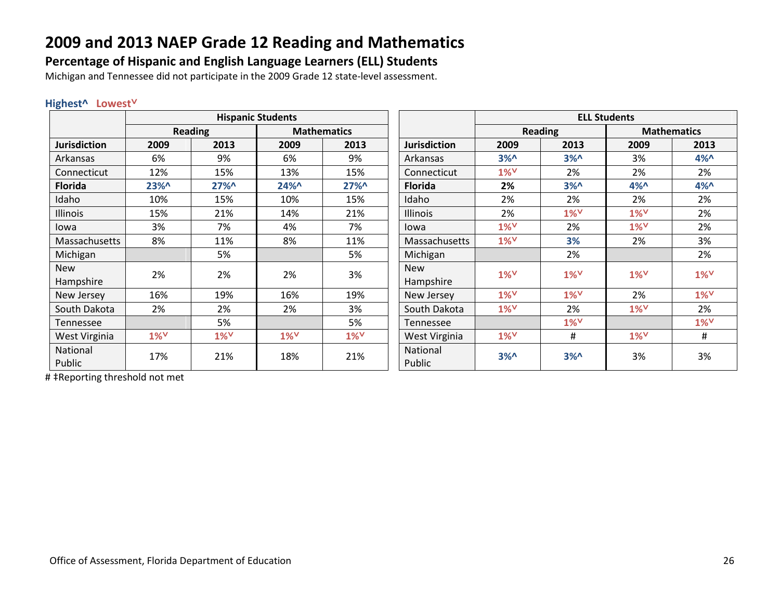### **Percentage of Hispanic and English Language Learners (ELL) Students**

Michigan and Tennessee did not participate in the 2009 Grade 12 state-level assessment.

#### **Highest^ Lowest˅**

|                     |                    |                    | <b>Hispanic Students</b> |                    |                     |        |                    | <b>ELL Students</b> |                    |
|---------------------|--------------------|--------------------|--------------------------|--------------------|---------------------|--------|--------------------|---------------------|--------------------|
|                     |                    | Reading            |                          | <b>Mathematics</b> |                     |        | <b>Reading</b>     | <b>Mathematics</b>  |                    |
| <b>Jurisdiction</b> | 2009               | 2013               | 2009                     | 2013               | <b>Jurisdiction</b> | 2009   | 2013               | 2009                | 2013               |
| Arkansas            | 6%                 | 9%                 | 6%                       | 9%                 | Arkansas            | $3\%0$ | 3% <sub>n</sub>    | 3%                  | $4\%$              |
| Connecticut         | 12%                | 15%                | 13%                      | 15%                | Connecticut         | $1\%$  | 2%                 | 2%                  | 2%                 |
| <b>Florida</b>      | 23%                | 27%                | 24%^                     | 27%                | <b>Florida</b>      | 2%     | $3\%0$             | 4%                  | $4\%$              |
| Idaho               | 10%                | 15%                | 10%                      | 15%                | Idaho               | 2%     | 2%                 | 2%                  | 2%                 |
| Illinois            | 15%                | 21%                | 14%                      | 21%                | Illinois            | 2%     | $1\%$ <sup>V</sup> | $1\%$               | 2%                 |
| lowa                | 3%                 | 7%                 | 4%                       | 7%                 | lowa                | $1\%$  | 2%                 | $1\%$               | 2%                 |
| Massachusetts       | 8%                 | 11%                | 8%                       | 11%                | Massachusetts       | $1\%$  | 3%                 | 2%                  | 3%                 |
| Michigan            |                    | 5%                 |                          | 5%                 | Michigan            |        | 2%                 |                     | 2%                 |
| <b>New</b>          | 2%                 | 2%                 | 2%                       | 3%                 | <b>New</b>          | $1\%$  | $1\%$ <sup>V</sup> | $1\%$               | $1\%$              |
| Hampshire           |                    |                    |                          |                    | Hampshire           |        |                    |                     |                    |
| New Jersey          | 16%                | 19%                | 16%                      | 19%                | New Jersey          | $1\%$  | $1\%$              | 2%                  | $1\%$ <sup>V</sup> |
| South Dakota        | 2%                 | 2%                 | 2%                       | 3%                 | South Dakota        | $1\%$  | 2%                 | $1\%$ <sup>V</sup>  | 2%                 |
| Tennessee           |                    | 5%                 |                          | 5%                 | Tennessee           |        | $1\%$ <sup>V</sup> |                     | $1\%$ <sup>V</sup> |
| West Virginia       | $1\%$ <sup>V</sup> | $1\%$ <sup>V</sup> | $1\%$ <sup>V</sup>       | $1\%$              | West Virginia       | $1\%$  | #                  | $1\%$ <sup>V</sup>  | #                  |
| National            |                    |                    |                          | 21%                | National            | 3%     |                    |                     | 3%                 |
| Public              |                    | 17%<br>21%         | 18%                      |                    | Public              |        | 3% <sub>n</sub>    | 3%                  |                    |

# ‡Reporting threshold not met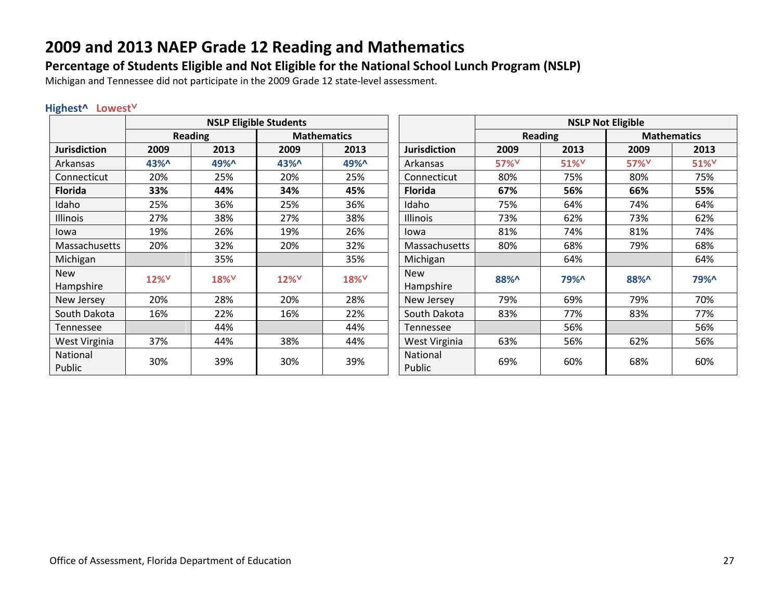### **Percentage of Students Eligible and Not Eligible for the National School Lunch Program (NSLP)**

Michigan and Tennessee did not participate in the 2009 Grade 12 state-level assessment.

#### **Highest^ Lowest˅**

|                         |                  |                  | <b>NSLP Eligible Students</b> |                    |                         |                  |                  |                    |                  |
|-------------------------|------------------|------------------|-------------------------------|--------------------|-------------------------|------------------|------------------|--------------------|------------------|
|                         |                  | <b>Reading</b>   |                               | <b>Mathematics</b> |                         |                  | <b>Reading</b>   | <b>Mathematics</b> |                  |
| <b>Jurisdiction</b>     | 2009             | 2013             | 2009                          | 2013               | <b>Jurisdiction</b>     | 2009             | 2013             | 2009               | 2013             |
| Arkansas                | 43%^             | 49%^             | 43%^                          | 49%^               | Arkansas                | 57% <sup>V</sup> | 51% <sup>V</sup> | 57% <sup>V</sup>   | 51% <sup>V</sup> |
| Connecticut             | 20%              | 25%              | 20%                           | 25%                | Connecticut             | 80%              | 75%              | 80%                | 75%              |
| <b>Florida</b>          | 33%              | 44%              | 34%                           | 45%                | <b>Florida</b>          | 67%              | 56%              | 66%                | 55%              |
| Idaho                   | 25%              | 36%              | 25%                           | 36%                | Idaho                   | 75%              | 64%              | 74%                | 64%              |
| Illinois                | 27%              | 38%              | 27%                           | 38%                | <b>Illinois</b>         | 73%              | 62%              | 73%                | 62%              |
| lowa                    | 19%              | 26%              | 19%                           | 26%                | lowa                    | 81%              | 74%              | 81%                | 74%              |
| Massachusetts           | 20%              | 32%              | 20%                           | 32%                | Massachusetts           | 80%              | 68%              | 79%                | 68%              |
| Michigan                |                  | 35%              |                               | 35%                | Michigan                |                  | 64%              |                    | 64%              |
| <b>New</b><br>Hampshire | 12% <sup>V</sup> | 18% <sup>V</sup> | 12% <sup>V</sup>              | 18% <sup>V</sup>   | <b>New</b><br>Hampshire | 88%^             | 79%^             | 88%^               | <b>79%^</b>      |
| New Jersey              | 20%              | 28%              | 20%                           | 28%                | New Jersey              | 79%              | 69%              | 79%                | 70%              |
| South Dakota            | 16%              | 22%              | 16%                           | 22%                | South Dakota            | 83%              | 77%              | 83%                | 77%              |
| Tennessee               |                  | 44%              |                               | 44%                | Tennessee               |                  | 56%              |                    | 56%              |
| West Virginia           | 37%              | 44%              | 38%                           | 44%                | West Virginia           | 63%              | 56%              | 62%                | 56%              |
| National<br>Public      | 30%              | 39%              | 30%                           | 39%                | National<br>Public      | 69%              | 60%              | 68%                | 60%              |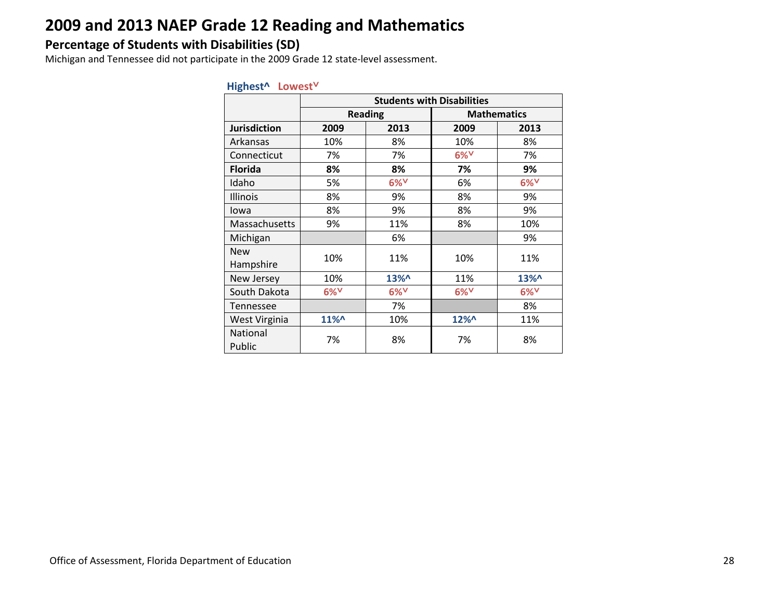### **Percentage of Students with Disabilities (SD)**

Michigan and Tennessee did not participate in the 2009 Grade 12 state-level assessment.

|                         | <b>Students with Disabilities</b> |                    |                    |                    |  |  |  |  |  |
|-------------------------|-----------------------------------|--------------------|--------------------|--------------------|--|--|--|--|--|
|                         |                                   | <b>Reading</b>     |                    | <b>Mathematics</b> |  |  |  |  |  |
| <b>Jurisdiction</b>     | 2009                              | 2013               | 2009               | 2013               |  |  |  |  |  |
| Arkansas                | 10%                               | 8%                 | 10%                | 8%                 |  |  |  |  |  |
| Connecticut             | 7%                                | 7%                 | $6\%$ <sup>V</sup> | 7%                 |  |  |  |  |  |
| <b>Florida</b>          | 8%                                | 8%                 | 7%                 | 9%                 |  |  |  |  |  |
| Idaho                   | 5%                                | $6\%$ <sup>V</sup> | 6%                 | $6\%$ <sup>V</sup> |  |  |  |  |  |
| Illinois                | 8%                                | 9%                 | 8%                 | 9%                 |  |  |  |  |  |
| lowa                    | 8%                                | 9%                 | 8%                 | 9%                 |  |  |  |  |  |
| Massachusetts           | 9%                                | 11%                | 8%                 | 10%                |  |  |  |  |  |
| Michigan                |                                   | 6%                 |                    | 9%                 |  |  |  |  |  |
| <b>New</b><br>Hampshire | 10%                               | 11%                | 10%                | 11%                |  |  |  |  |  |
| New Jersey              | 10%                               | 13%^               | 11%                | 13%^               |  |  |  |  |  |
| South Dakota            | $6\%$                             | $6\%$ <sup>V</sup> | $6\%$ <sup>V</sup> | $6\%$ <sup>V</sup> |  |  |  |  |  |
| Tennessee               |                                   | 7%                 |                    | 8%                 |  |  |  |  |  |
| West Virginia           | 11%^                              | 10%                | 12%^               | 11%                |  |  |  |  |  |
| National<br>Public      | 7%                                | 8%                 | 7%                 | 8%                 |  |  |  |  |  |

#### **Highest^ Lowest˅**